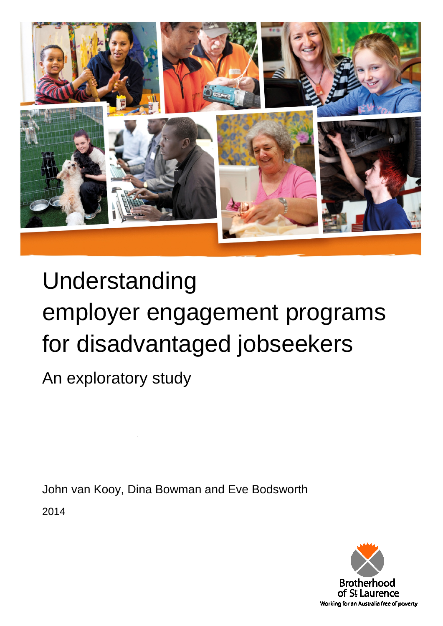

# Understanding employer engagement programs for disadvantaged jobseekers

An exploratory study

John van Kooy, Dina Bowman and Eve Bodsworth

<span id="page-0-0"></span>2014

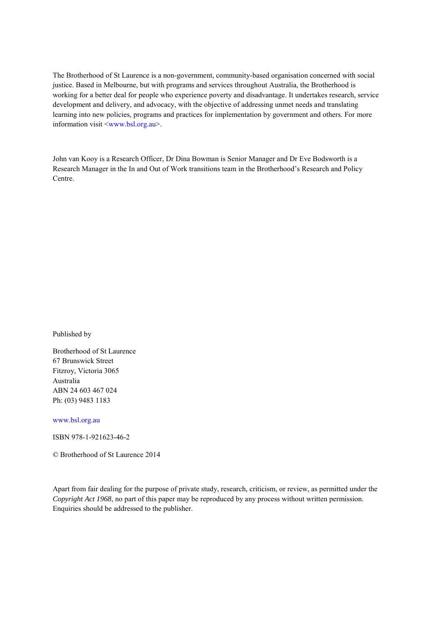The Brotherhood of St Laurence is a non-government, community-based organisation concerned with social justice. Based in Melbourne, but with programs and services throughout Australia, the Brotherhood is working for a better deal for people who experience poverty and disadvantage. It undertakes research, service development and delivery, and advocacy, with the objective of addressing unmet needs and translating learning into new policies, programs and practices for implementation by government and others. For more information visit [<www.bsl.org.au>](http://www.bsl.org.au/).

John van Kooy is a Research Officer, Dr Dina Bowman is Senior Manager and Dr Eve Bodsworth is a Research Manager in the In and Out of Work transitions team in the Brotherhood's Research and Policy Centre.

Published by

Brotherhood of St Laurence 67 Brunswick Street Fitzroy, Victoria 3065 Australia ABN 24 603 467 024 Ph: (03) 9483 1183

[www.bsl.org.au](http://www.bsl.org.au/) 

ISBN 978-1-921623-46-2

© Brotherhood of St Laurence 2014

Apart from fair dealing for the purpose of private study, research, criticism, or review, as permitted under the *Copyright Act 1968*, no part of this paper may be reproduced by any process without written permission. Enquiries should be addressed to the publisher.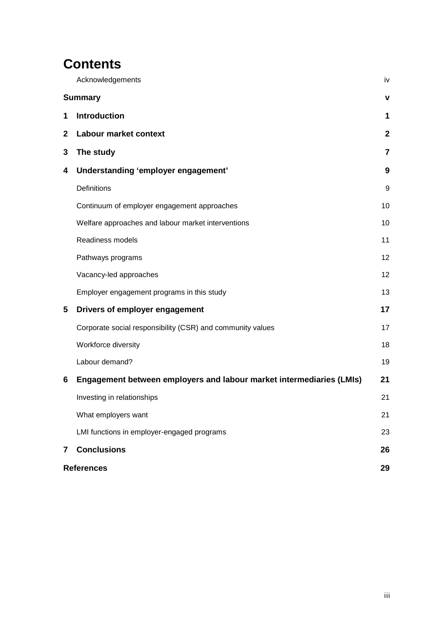# **Contents**

<span id="page-2-0"></span>

|                | Acknowledgements                                                     | iv             |  |
|----------------|----------------------------------------------------------------------|----------------|--|
|                | <b>Summary</b>                                                       | $\mathbf v$    |  |
| 1              | <b>Introduction</b>                                                  | 1              |  |
| $\mathbf{2}$   | Labour market context                                                | $\mathbf{2}$   |  |
| 3              | The study                                                            | $\overline{7}$ |  |
| 4              | Understanding 'employer engagement'                                  | 9              |  |
|                | Definitions                                                          | 9              |  |
|                | Continuum of employer engagement approaches                          | 10             |  |
|                | Welfare approaches and labour market interventions                   | 10             |  |
|                | Readiness models                                                     | 11             |  |
|                | Pathways programs                                                    | 12             |  |
|                | Vacancy-led approaches                                               | 12             |  |
|                | Employer engagement programs in this study                           | 13             |  |
| 5              | Drivers of employer engagement                                       | 17             |  |
|                | Corporate social responsibility (CSR) and community values           | 17             |  |
|                | Workforce diversity                                                  | 18             |  |
|                | Labour demand?                                                       | 19             |  |
| 6              | Engagement between employers and labour market intermediaries (LMIs) | 21             |  |
|                | Investing in relationships                                           | 21             |  |
|                | What employers want                                                  | 21             |  |
|                | LMI functions in employer-engaged programs                           | 23             |  |
| $\overline{7}$ | <b>Conclusions</b>                                                   | 26             |  |
|                | <b>References</b>                                                    |                |  |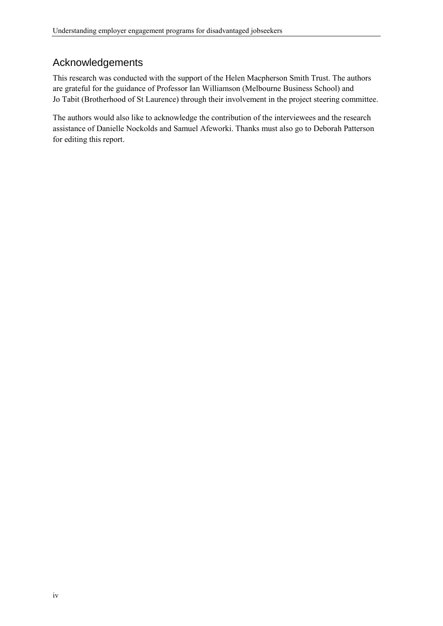# Acknowledgements

This research was conducted with the support of the Helen Macpherson Smith Trust. The authors are grateful for the guidance of Professor Ian Williamson (Melbourne Business School) and Jo Tabit (Brotherhood of St Laurence) through their involvement in the project steering committee.

The authors would also like to acknowledge the contribution of the interviewees and the research assistance of Danielle Nockolds and Samuel Afeworki. Thanks must also go to Deborah Patterson for editing this report.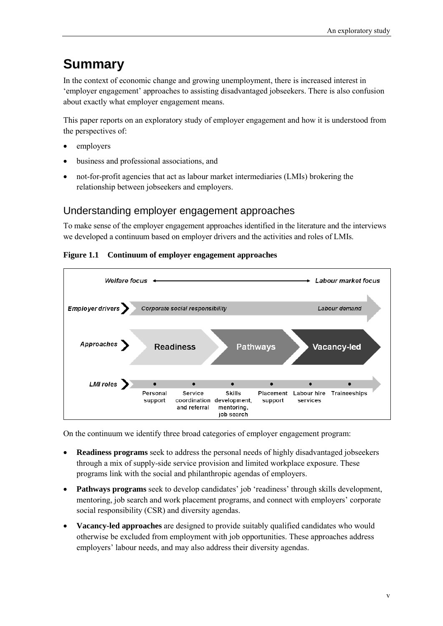# <span id="page-4-0"></span>**Summary**

In the context of economic change and growing unemployment, there is increased interest in 'employer engagement' approaches to assisting disadvantaged jobseekers. There is also confusion about exactly what employer engagement means.

This paper reports on an exploratory study of employer engagement and how it is understood from the perspectives of:

- employers
- business and professional associations, and
- not-for-profit agencies that act as labour market intermediaries (LMIs) brokering the relationship between jobseekers and employers.

### Understanding employer engagement approaches

To make sense of the employer engagement approaches identified in the literature and the interviews we developed a continuum based on employer drivers and the activities and roles of LMIs.

**Figure 1.1 Continuum of employer engagement approaches**



On the continuum we identify three broad categories of employer engagement program:

- **Readiness programs** seek to address the personal needs of highly disadvantaged jobseekers through a mix of supply-side service provision and limited workplace exposure. These programs link with the social and philanthropic agendas of employers.
- **Pathways programs** seek to develop candidates' job 'readiness' through skills development, mentoring, job search and work placement programs, and connect with employers' corporate social responsibility (CSR) and diversity agendas.
- **Vacancy-led approaches** are designed to provide suitably qualified candidates who would otherwise be excluded from employment with job opportunities. These approaches address employers' labour needs, and may also address their diversity agendas.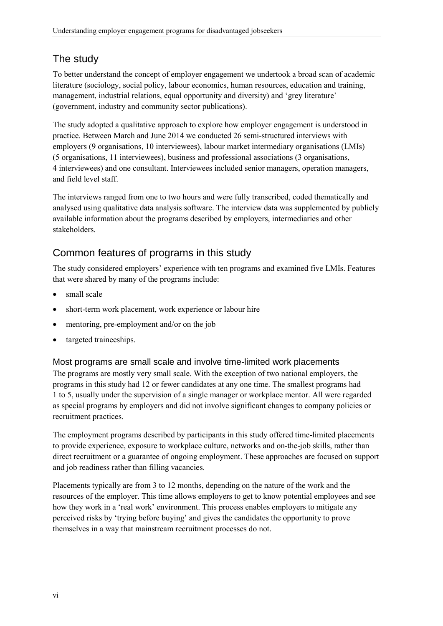# The study

To better understand the concept of employer engagement we undertook a broad scan of academic literature (sociology, social policy, labour economics, human resources, education and training, management, industrial relations, equal opportunity and diversity) and 'grey literature' (government, industry and community sector publications).

The study adopted a qualitative approach to explore how employer engagement is understood in practice. Between March and June 2014 we conducted 26 semi-structured interviews with employers (9 organisations, 10 interviewees), labour market intermediary organisations (LMIs) (5 organisations, 11 interviewees), business and professional associations (3 organisations, 4 interviewees) and one consultant. Interviewees included senior managers, operation managers, and field level staff.

The interviews ranged from one to two hours and were fully transcribed, coded thematically and analysed using qualitative data analysis software. The interview data was supplemented by publicly available information about the programs described by employers, intermediaries and other stakeholders.

# Common features of programs in this study

The study considered employers' experience with ten programs and examined five LMIs. Features that were shared by many of the programs include:

- small scale
- short-term work placement, work experience or labour hire
- mentoring, pre-employment and/or on the job
- targeted traineeships.

Most programs are small scale and involve time-limited work placements

The programs are mostly very small scale. With the exception of two national employers, the programs in this study had 12 or fewer candidates at any one time. The smallest programs had 1 to 5, usually under the supervision of a single manager or workplace mentor. All were regarded as special programs by employers and did not involve significant changes to company policies or recruitment practices.

The employment programs described by participants in this study offered time-limited placements to provide experience, exposure to workplace culture, networks and on-the-job skills, rather than direct recruitment or a guarantee of ongoing employment. These approaches are focused on support and job readiness rather than filling vacancies.

Placements typically are from 3 to 12 months, depending on the nature of the work and the resources of the employer. This time allows employers to get to know potential employees and see how they work in a 'real work' environment. This process enables employers to mitigate any perceived risks by 'trying before buying' and gives the candidates the opportunity to prove themselves in a way that mainstream recruitment processes do not.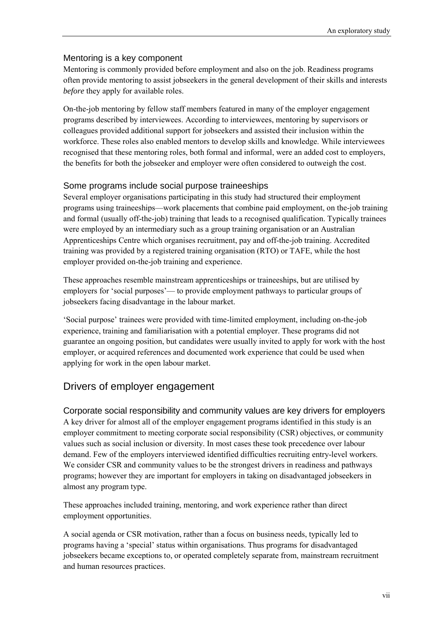#### Mentoring is a key component

Mentoring is commonly provided before employment and also on the job. Readiness programs often provide mentoring to assist jobseekers in the general development of their skills and interests *before* they apply for available roles.

On-the-job mentoring by fellow staff members featured in many of the employer engagement programs described by interviewees. According to interviewees, mentoring by supervisors or colleagues provided additional support for jobseekers and assisted their inclusion within the workforce. These roles also enabled mentors to develop skills and knowledge. While interviewees recognised that these mentoring roles, both formal and informal, were an added cost to employers, the benefits for both the jobseeker and employer were often considered to outweigh the cost.

#### Some programs include social purpose traineeships

Several employer organisations participating in this study had structured their employment programs using traineeships—work placements that combine paid employment, on the-job training and formal (usually off-the-job) training that leads to a recognised qualification. Typically trainees were employed by an intermediary such as a group training organisation or an Australian Apprenticeships Centre which organises recruitment, pay and off-the-job training. Accredited training was provided by a registered training organisation (RTO) or TAFE, while the host employer provided on-the-job training and experience.

These approaches resemble mainstream apprenticeships or traineeships, but are utilised by employers for 'social purposes'— to provide employment pathways to particular groups of jobseekers facing disadvantage in the labour market.

'Social purpose' trainees were provided with time-limited employment, including on-the-job experience, training and familiarisation with a potential employer. These programs did not guarantee an ongoing position, but candidates were usually invited to apply for work with the host employer, or acquired references and documented work experience that could be used when applying for work in the open labour market.

#### Drivers of employer engagement

Corporate social responsibility and community values are key drivers for employers A key driver for almost all of the employer engagement programs identified in this study is an employer commitment to meeting corporate social responsibility (CSR) objectives, or community values such as social inclusion or diversity. In most cases these took precedence over labour demand. Few of the employers interviewed identified difficulties recruiting entry-level workers. We consider CSR and community values to be the strongest drivers in readiness and pathways programs; however they are important for employers in taking on disadvantaged jobseekers in almost any program type.

These approaches included training, mentoring, and work experience rather than direct employment opportunities.

A social agenda or CSR motivation, rather than a focus on business needs, typically led to programs having a 'special' status within organisations. Thus programs for disadvantaged jobseekers became exceptions to, or operated completely separate from, mainstream recruitment and human resources practices.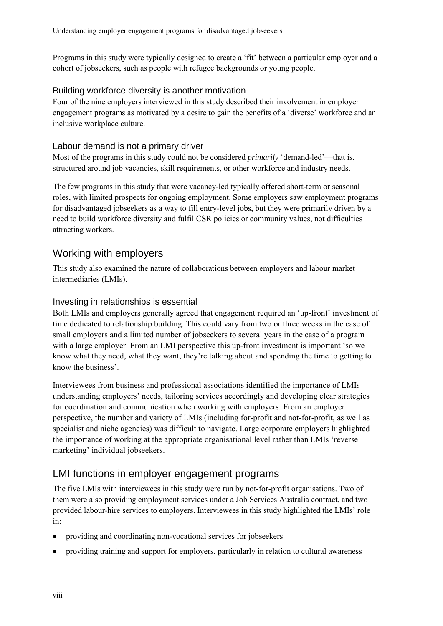Programs in this study were typically designed to create a 'fit' between a particular employer and a cohort of jobseekers, such as people with refugee backgrounds or young people.

#### Building workforce diversity is another motivation

Four of the nine employers interviewed in this study described their involvement in employer engagement programs as motivated by a desire to gain the benefits of a 'diverse' workforce and an inclusive workplace culture.

#### Labour demand is not a primary driver

Most of the programs in this study could not be considered *primarily* 'demand-led'—that is, structured around job vacancies, skill requirements, or other workforce and industry needs.

The few programs in this study that were vacancy-led typically offered short-term or seasonal roles, with limited prospects for ongoing employment. Some employers saw employment programs for disadvantaged jobseekers as a way to fill entry-level jobs, but they were primarily driven by a need to build workforce diversity and fulfil CSR policies or community values, not difficulties attracting workers.

# Working with employers

This study also examined the nature of collaborations between employers and labour market intermediaries (LMIs).

#### Investing in relationships is essential

Both LMIs and employers generally agreed that engagement required an 'up-front' investment of time dedicated to relationship building. This could vary from two or three weeks in the case of small employers and a limited number of jobseekers to several years in the case of a program with a large employer. From an LMI perspective this up-front investment is important 'so we know what they need, what they want, they're talking about and spending the time to getting to know the business'.

Interviewees from business and professional associations identified the importance of LMIs understanding employers' needs, tailoring services accordingly and developing clear strategies for coordination and communication when working with employers. From an employer perspective, the number and variety of LMIs (including for-profit and not-for-profit, as well as specialist and niche agencies) was difficult to navigate. Large corporate employers highlighted the importance of working at the appropriate organisational level rather than LMIs 'reverse marketing' individual jobseekers.

# LMI functions in employer engagement programs

The five LMIs with interviewees in this study were run by not-for-profit organisations. Two of them were also providing employment services under a Job Services Australia contract, and two provided labour-hire services to employers. Interviewees in this study highlighted the LMIs' role in:

- providing and coordinating non-vocational services for jobseekers
- providing training and support for employers, particularly in relation to cultural awareness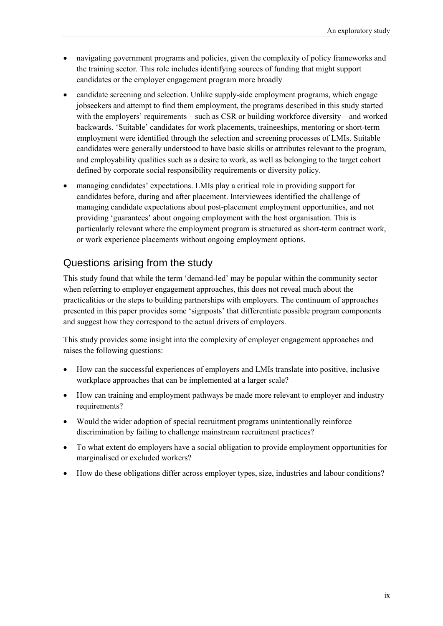- navigating government programs and policies, given the complexity of policy frameworks and the training sector. This role includes identifying sources of funding that might support candidates or the employer engagement program more broadly
- candidate screening and selection. Unlike supply-side employment programs, which engage jobseekers and attempt to find them employment, the programs described in this study started with the employers' requirements—such as CSR or building workforce diversity—and worked backwards. 'Suitable' candidates for work placements, traineeships, mentoring or short-term employment were identified through the selection and screening processes of LMIs. Suitable candidates were generally understood to have basic skills or attributes relevant to the program, and employability qualities such as a desire to work, as well as belonging to the target cohort defined by corporate social responsibility requirements or diversity policy.
- managing candidates' expectations. LMIs play a critical role in providing support for candidates before, during and after placement. Interviewees identified the challenge of managing candidate expectations about post-placement employment opportunities, and not providing 'guarantees' about ongoing employment with the host organisation. This is particularly relevant where the employment program is structured as short-term contract work, or work experience placements without ongoing employment options.

## Questions arising from the study

This study found that while the term 'demand-led' may be popular within the community sector when referring to employer engagement approaches, this does not reveal much about the practicalities or the steps to building partnerships with employers. The continuum of approaches presented in this paper provides some 'signposts' that differentiate possible program components and suggest how they correspond to the actual drivers of employers.

This study provides some insight into the complexity of employer engagement approaches and raises the following questions:

- How can the successful experiences of employers and LMIs translate into positive, inclusive workplace approaches that can be implemented at a larger scale?
- How can training and employment pathways be made more relevant to employer and industry requirements?
- Would the wider adoption of special recruitment programs unintentionally reinforce discrimination by failing to challenge mainstream recruitment practices?
- To what extent do employers have a social obligation to provide employment opportunities for marginalised or excluded workers?
- How do these obligations differ across employer types, size, industries and labour conditions?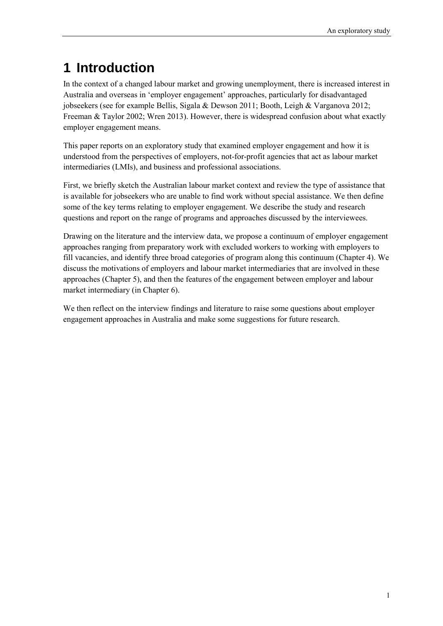# <span id="page-10-0"></span>**1 Introduction**

In the context of a changed labour market and growing unemployment, there is increased interest in Australia and overseas in 'employer engagement' approaches, particularly for disadvantaged jobseekers (see for example Bellis, Sigala & Dewson 2011; Booth, Leigh & Varganova 2012; Freeman & Taylor 2002; Wren 2013). However, there is widespread confusion about what exactly employer engagement means.

This paper reports on an exploratory study that examined employer engagement and how it is understood from the perspectives of employers, not-for-profit agencies that act as labour market intermediaries (LMIs), and business and professional associations.

First, we briefly sketch the Australian labour market context and review the type of assistance that is available for jobseekers who are unable to find work without special assistance. We then define some of the key terms relating to employer engagement. We describe the study and research questions and report on the range of programs and approaches discussed by the interviewees.

Drawing on the literature and the interview data, we propose a continuum of employer engagement approaches ranging from preparatory work with excluded workers to working with employers to fill vacancies, and identify three broad categories of program along this continuum (Chapter 4). We discuss the motivations of employers and labour market intermediaries that are involved in these approaches (Chapter 5), and then the features of the engagement between employer and labour market intermediary (in Chapter 6).

We then reflect on the interview findings and literature to raise some questions about employer engagement approaches in Australia and make some suggestions for future research.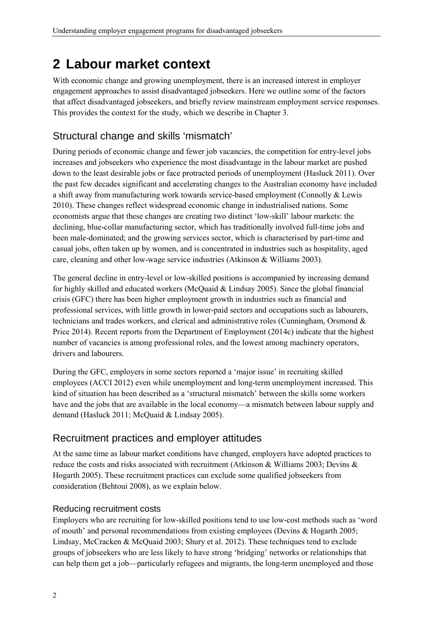# <span id="page-11-0"></span>**2 Labour market context**

With economic change and growing unemployment, there is an increased interest in employer engagement approaches to assist disadvantaged jobseekers. Here we outline some of the factors that affect disadvantaged jobseekers, and briefly review mainstream employment service responses. This provides the context for the study, which we describe in Chapter 3.

# Structural change and skills 'mismatch'

During periods of economic change and fewer job vacancies, the competition for entry-level jobs increases and jobseekers who experience the most disadvantage in the labour market are pushed down to the least desirable jobs or face protracted periods of unemployment (Hasluck 2011). Over the past few decades significant and accelerating changes to the Australian economy have included a shift away from manufacturing work towards service-based employment (Connolly & Lewis 2010). These changes reflect widespread economic change in industrialised nations. Some economists argue that these changes are creating two distinct 'low-skill' labour markets: the declining, blue-collar manufacturing sector, which has traditionally involved full-time jobs and been male-dominated; and the growing services sector, which is characterised by part-time and casual jobs, often taken up by women, and is concentrated in industries such as hospitality, aged care, cleaning and other low-wage service industries (Atkinson & Williams 2003).

The general decline in entry-level or low-skilled positions is accompanied by increasing demand for highly skilled and educated workers (McQuaid & Lindsay 2005). Since the global financial crisis (GFC) there has been higher employment growth in industries such as financial and professional services, with little growth in lower-paid sectors and occupations such as labourers, technicians and trades workers, and clerical and administrative roles (Cunningham, Orsmond & Price 2014). Recent reports from the Department of Employment (2014c) indicate that the highest number of vacancies is among professional roles, and the lowest among machinery operators, drivers and labourers.

During the GFC, employers in some sectors reported a 'major issue' in recruiting skilled employees (ACCI 2012) even while unemployment and long-term unemployment increased. This kind of situation has been described as a 'structural mismatch' between the skills some workers have and the jobs that are available in the local economy—a mismatch between labour supply and demand (Hasluck 2011; McQuaid & Lindsay 2005).

# Recruitment practices and employer attitudes

At the same time as labour market conditions have changed, employers have adopted practices to reduce the costs and risks associated with recruitment (Atkinson & Williams 2003; Devins & Hogarth 2005). These recruitment practices can exclude some qualified jobseekers from consideration (Behtoui 2008), as we explain below.

#### Reducing recruitment costs

Employers who are recruiting for low-skilled positions tend to use low-cost methods such as 'word of mouth' and personal recommendations from existing employees (Devins & Hogarth 2005; Lindsay, McCracken & McQuaid 2003; Shury et al. 2012). These techniques tend to exclude groups of jobseekers who are less likely to have strong 'bridging' networks or relationships that can help them get a job—particularly refugees and migrants, the long-term unemployed and those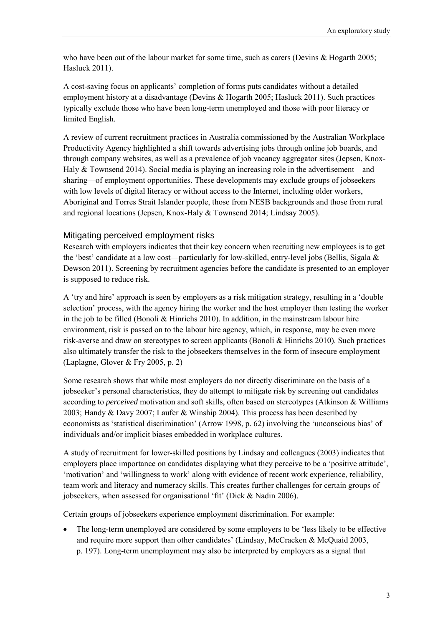who have been out of the labour market for some time, such as carers (Devins & Hogarth 2005; Hasluck 2011).

A cost-saving focus on applicants' completion of forms puts candidates without a detailed employment history at a disadvantage (Devins & Hogarth 2005; Hasluck 2011). Such practices typically exclude those who have been long-term unemployed and those with poor literacy or limited English.

A review of current recruitment practices in Australia commissioned by the Australian Workplace Productivity Agency highlighted a shift towards advertising jobs through online job boards, and through company websites, as well as a prevalence of job vacancy aggregator sites (Jepsen, Knox-Haly & Townsend 2014). Social media is playing an increasing role in the advertisement—and sharing—of employment opportunities. These developments may exclude groups of jobseekers with low levels of digital literacy or without access to the Internet, including older workers, Aboriginal and Torres Strait Islander people, those from NESB backgrounds and those from rural and regional locations (Jepsen, Knox-Haly & Townsend 2014; Lindsay 2005).

#### Mitigating perceived employment risks

Research with employers indicates that their key concern when recruiting new employees is to get the 'best' candidate at a low cost—particularly for low-skilled, entry-level jobs (Bellis, Sigala & Dewson 2011). Screening by recruitment agencies before the candidate is presented to an employer is supposed to reduce risk.

A 'try and hire' approach is seen by employers as a risk mitigation strategy, resulting in a 'double selection' process, with the agency hiring the worker and the host employer then testing the worker in the job to be filled (Bonoli  $\&$  Hinrichs 2010). In addition, in the mainstream labour hire environment, risk is passed on to the labour hire agency, which, in response, may be even more risk-averse and draw on stereotypes to screen applicants (Bonoli & Hinrichs 2010). Such practices also ultimately transfer the risk to the jobseekers themselves in the form of insecure employment (Laplagne, Glover & Fry 2005, p. 2)

Some research shows that while most employers do not directly discriminate on the basis of a jobseeker's personal characteristics, they do attempt to mitigate risk by screening out candidates according to *perceived* motivation and soft skills, often based on stereotypes (Atkinson & Williams 2003; Handy & Davy 2007; Laufer & Winship 2004). This process has been described by economists as 'statistical discrimination' (Arrow 1998, p. 62) involving the 'unconscious bias' of individuals and/or implicit biases embedded in workplace cultures.

A study of recruitment for lower-skilled positions by Lindsay and colleagues (2003) indicates that employers place importance on candidates displaying what they perceive to be a 'positive attitude', 'motivation' and 'willingness to work' along with evidence of recent work experience, reliability, team work and literacy and numeracy skills. This creates further challenges for certain groups of jobseekers, when assessed for organisational 'fit' (Dick & Nadin 2006).

Certain groups of jobseekers experience employment discrimination. For example:

• The long-term unemployed are considered by some employers to be 'less likely to be effective and require more support than other candidates' (Lindsay, McCracken & McQuaid 2003, p. 197). Long-term unemployment may also be interpreted by employers as a signal that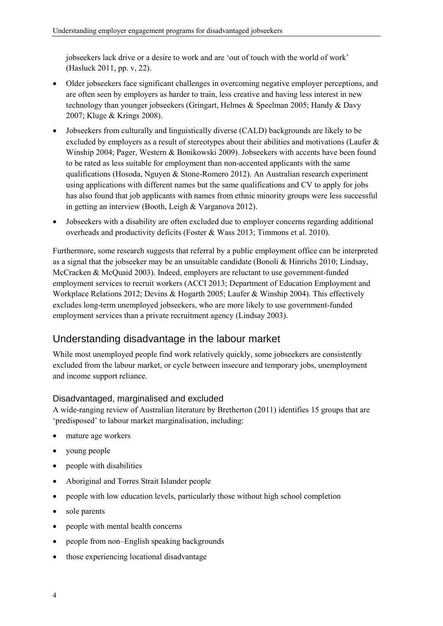jobseekers lack drive or a desire to work and are 'out of touch with the world of work' (Hasluck 2011, pp. v, 22).

- Older jobseekers face significant challenges in overcoming negative employer perceptions, and are often seen by employers as harder to train, less creative and having less interest in new technology than younger jobseekers (Gringart, Helmes & Speelman 2005; Handy & Davy 2007; Kluge & Krings 2008).
- Jobseekers from culturally and linguistically diverse (CALD) backgrounds are likely to be excluded by employers as a result of stereotypes about their abilities and motivations (Laufer & Winship 2004; Pager, Western & Bonikowski 2009). Jobseekers with accents have been found to be rated as less suitable for employment than non-accented applicants with the same qualifications (Hosoda, Nguyen & Stone-Romero 2012). An Australian research experiment using applications with different names but the same qualifications and CV to apply for jobs has also found that job applicants with names from ethnic minority groups were less successful in getting an interview (Booth, Leigh & Varganova 2012).
- Jobseekers with a disability are often excluded due to employer concerns regarding additional overheads and productivity deficits (Foster & Wass 2013; Timmons et al. 2010).

Furthermore, some research suggests that referral by a public employment office can be interpreted as a signal that the jobseeker may be an unsuitable candidate (Bonoli & Hinrichs 2010; Lindsay, McCracken & McQuaid 2003). Indeed, employers are reluctant to use government-funded employment services to recruit workers (ACCI 2013; Department of Education Employment and Workplace Relations 2012; Devins & Hogarth 2005; Laufer & Winship 2004). This effectively excludes long-term unemployed jobseekers, who are more likely to use government-funded employment services than a private recruitment agency (Lindsay 2003).

### Understanding disadvantage in the labour market

While most unemployed people find work relatively quickly, some jobseekers are consistently excluded from the labour market, or cycle between insecure and temporary jobs, unemployment and income support reliance.

#### Disadvantaged, marginalised and excluded

A wide-ranging review of Australian literature by Bretherton (2011) identifies 15 groups that are 'predisposed' to labour market marginalisation, including:

- mature age workers
- young people
- people with disabilities
- Aboriginal and Torres Strait Islander people
- people with low education levels, particularly those without high school completion
- sole parents
- people with mental health concerns
- people from non–English speaking backgrounds
- those experiencing locational disadvantage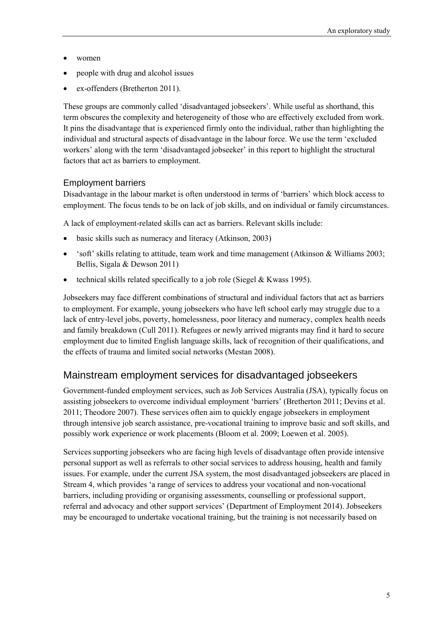- women
- people with drug and alcohol issues
- ex-offenders (Bretherton 2011).

These groups are commonly called 'disadvantaged jobseekers'. While useful as shorthand, this term obscures the complexity and heterogeneity of those who are effectively excluded from work. It pins the disadvantage that is experienced firmly onto the individual, rather than highlighting the individual and structural aspects of disadvantage in the labour force. We use the term 'excluded workers' along with the term 'disadvantaged jobseeker' in this report to highlight the structural factors that act as barriers to employment.

#### Employment barriers

Disadvantage in the labour market is often understood in terms of 'barriers' which block access to employment. The focus tends to be on lack of job skills, and on individual or family circumstances.

A lack of employment-related skills can act as barriers. Relevant skills include:

- basic skills such as numeracy and literacy (Atkinson, 2003)
- 'soft' skills relating to attitude, team work and time management (Atkinson & Williams 2003; Bellis, Sigala & Dewson 2011)
- technical skills related specifically to a job role (Siegel  $&Kwass$  1995).

Jobseekers may face different combinations of structural and individual factors that act as barriers to employment. For example, young jobseekers who have left school early may struggle due to a lack of entry-level jobs, poverty, homelessness, poor literacy and numeracy, complex health needs and family breakdown (Cull 2011). Refugees or newly arrived migrants may find it hard to secure employment due to limited English language skills, lack of recognition of their qualifications, and the effects of trauma and limited social networks (Mestan 2008).

# Mainstream employment services for disadvantaged jobseekers

Government-funded employment services, such as Job Services Australia (JSA), typically focus on assisting jobseekers to overcome individual employment 'barriers' (Bretherton 2011; Devins et al. 2011; Theodore 2007). These services often aim to quickly engage jobseekers in employment through intensive job search assistance, pre-vocational training to improve basic and soft skills, and possibly work experience or work placements (Bloom et al. 2009; Loewen et al. 2005).

Services supporting jobseekers who are facing high levels of disadvantage often provide intensive personal support as well as referrals to other social services to address housing, health and family issues. For example, under the current JSA system, the most disadvantaged jobseekers are placed in Stream 4, which provides 'a range of services to address your vocational and non-vocational barriers, including providing or organising assessments, counselling or professional support, referral and advocacy and other support services' (Department of Employment 2014). Jobseekers may be encouraged to undertake vocational training, but the training is not necessarily based on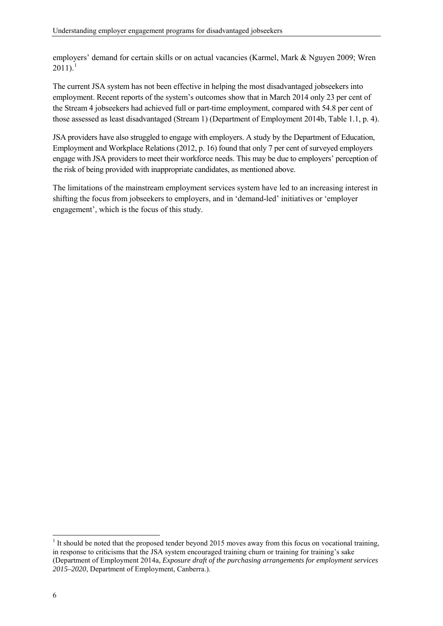employers' demand for certain skills or on actual vacancies (Karmel, Mark & Nguyen 2009; Wren  $2011$  $2011$  $2011$ ).<sup>1</sup>

The current JSA system has not been effective in helping the most disadvantaged jobseekers into employment. Recent reports of the system's outcomes show that in March 2014 only 23 per cent of the Stream 4 jobseekers had achieved full or part-time employment, compared with 54.8 per cent of those assessed as least disadvantaged (Stream 1) (Department of Employment 2014b, Table 1.1, p. 4).

JSA providers have also struggled to engage with employers. A study by the Department of Education, Employment and Workplace Relations (2012, p. 16) found that only 7 per cent of surveyed employers engage with JSA providers to meet their workforce needs. This may be due to employers' perception of the risk of being provided with inappropriate candidates, as mentioned above.

The limitations of the mainstream employment services system have led to an increasing interest in shifting the focus from jobseekers to employers, and in 'demand-led' initiatives or 'employer engagement', which is the focus of this study.

1

 $<sup>1</sup>$  It should be noted that the proposed tender beyond 2015 moves away from this focus on vocational training,</sup> in response to criticisms that the JSA system encouraged training churn or training for training's sake (Department of Employment 2014a, *Exposure draft of the purchasing arrangements for employment services 2015–2020*, Department of Employment, Canberra.).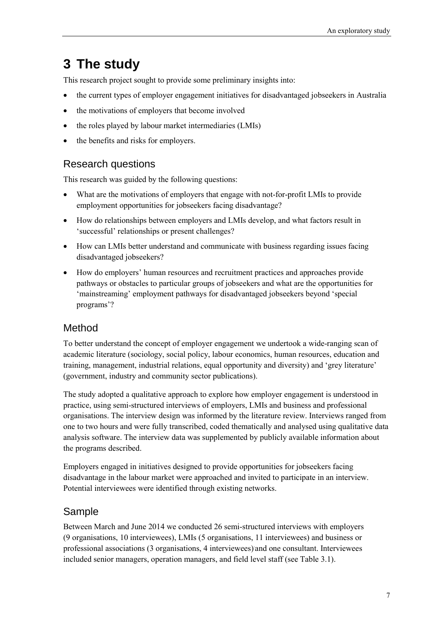# <span id="page-16-0"></span>**3 The study**

This research project sought to provide some preliminary insights into:

- the current types of employer engagement initiatives for disadvantaged jobseekers in Australia
- the motivations of employers that become involved
- the roles played by labour market intermediaries (LMIs)
- the benefits and risks for employers.

# Research questions

This research was guided by the following questions:

- What are the motivations of employers that engage with not-for-profit LMIs to provide employment opportunities for jobseekers facing disadvantage?
- How do relationships between employers and LMIs develop, and what factors result in 'successful' relationships or present challenges?
- How can LMIs better understand and communicate with business regarding issues facing disadvantaged jobseekers?
- How do employers' human resources and recruitment practices and approaches provide pathways or obstacles to particular groups of jobseekers and what are the opportunities for 'mainstreaming' employment pathways for disadvantaged jobseekers beyond 'special programs'?

# Method

To better understand the concept of employer engagement we undertook a wide-ranging scan of academic literature (sociology, social policy, labour economics, human resources, education and training, management, industrial relations, equal opportunity and diversity) and 'grey literature' (government, industry and community sector publications).

The study adopted a qualitative approach to explore how employer engagement is understood in practice, using semi-structured interviews of employers, LMIs and business and professional organisations. The interview design was informed by the literature review. Interviews ranged from one to two hours and were fully transcribed, coded thematically and analysed using qualitative data analysis software. The interview data was supplemented by publicly available information about the programs described.

Employers engaged in initiatives designed to provide opportunities for jobseekers facing disadvantage in the labour market were approached and invited to participate in an interview. Potential interviewees were identified through existing networks.

# Sample

Between March and June 2014 we conducted 26 semi-structured interviews with employers (9 organisations, 10 interviewees), LMIs (5 organisations, 11 interviewees) and business or professional associations (3 organisations, 4 interviewees) and one consultant. Interviewees included senior managers, operation managers, and field level staff (see [Table 3.1\)](#page-17-0).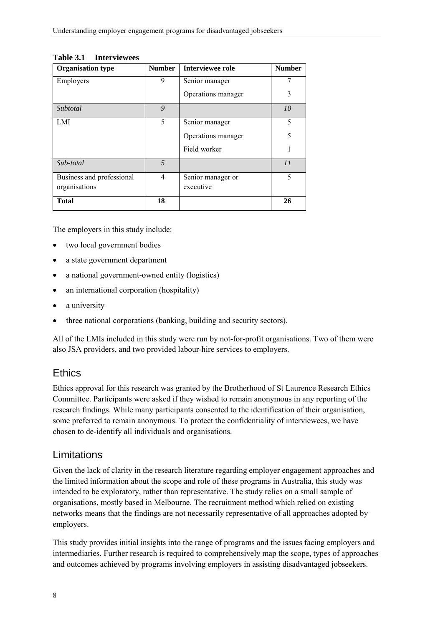| <b>Organisation type</b>  | <b>Number</b> | Interviewee role   | <b>Number</b> |
|---------------------------|---------------|--------------------|---------------|
| Employers                 | 9             | Senior manager     |               |
|                           |               | Operations manager | 3             |
| Subtotal                  | 9             |                    | 10            |
| LMI                       | 5             | Senior manager     | 5             |
|                           |               | Operations manager | 5             |
|                           |               | Field worker       |               |
| Sub-total                 | $\sqrt{2}$    |                    | 11            |
| Business and professional | 4             | Senior manager or  | 5             |
| organisations             |               | executive          |               |
| <b>Total</b>              | 18            |                    | 26            |

#### <span id="page-17-0"></span>**Table 3.1 Interviewees**

The employers in this study include:

- two local government bodies
- a state government department
- a national government-owned entity (logistics)
- an international corporation (hospitality)
- a university
- three national corporations (banking, building and security sectors).

All of the LMIs included in this study were run by not-for-profit organisations. Two of them were also JSA providers, and two provided labour-hire services to employers.

### **Ethics**

Ethics approval for this research was granted by the Brotherhood of St Laurence Research Ethics Committee. Participants were asked if they wished to remain anonymous in any reporting of the research findings. While many participants consented to the identification of their organisation, some preferred to remain anonymous. To protect the confidentiality of interviewees, we have chosen to de-identify all individuals and organisations.

#### Limitations

Given the lack of clarity in the research literature regarding employer engagement approaches and the limited information about the scope and role of these programs in Australia, this study was intended to be exploratory, rather than representative. The study relies on a small sample of organisations, mostly based in Melbourne. The recruitment method which relied on existing networks means that the findings are not necessarily representative of all approaches adopted by employers.

This study provides initial insights into the range of programs and the issues facing employers and intermediaries. Further research is required to comprehensively map the scope, types of approaches and outcomes achieved by programs involving employers in assisting disadvantaged jobseekers.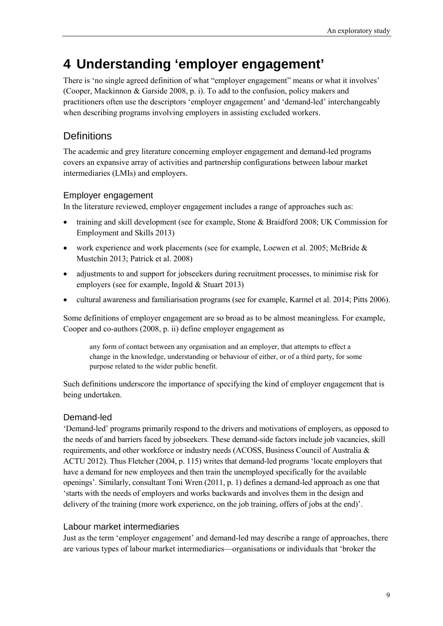# <span id="page-18-0"></span>**4 Understanding 'employer engagement'**

There is 'no single agreed definition of what "employer engagement" means or what it involves' (Cooper, Mackinnon & Garside 2008, p. i). To add to the confusion, policy makers and practitioners often use the descriptors 'employer engagement' and 'demand-led' interchangeably when describing programs involving employers in assisting excluded workers.

# <span id="page-18-1"></span>**Definitions**

The academic and grey literature concerning employer engagement and demand-led programs covers an expansive array of activities and partnership configurations between labour market intermediaries (LMIs) and employers.

#### Employer engagement

In the literature reviewed, employer engagement includes a range of approaches such as:

- training and skill development (see for example, Stone & Braidford 2008; UK Commission for Employment and Skills 2013)
- work experience and work placements (see for example, Loewen et al. 2005; McBride & Mustchin 2013; Patrick et al. 2008)
- adjustments to and support for jobseekers during recruitment processes, to minimise risk for employers (see for example, Ingold & Stuart 2013)
- cultural awareness and familiarisation programs (see for example, Karmel et al. 2014; Pitts 2006).

Some definitions of employer engagement are so broad as to be almost meaningless. For example, Cooper and co-authors (2008, p. ii) define employer engagement as

any form of contact between any organisation and an employer, that attempts to effect a change in the knowledge, understanding or behaviour of either, or of a third party, for some purpose related to the wider public benefit.

Such definitions underscore the importance of specifying the kind of employer engagement that is being undertaken.

### Demand-led

'Demand-led' programs primarily respond to the drivers and motivations of employers, as opposed to the needs of and barriers faced by jobseekers. These demand-side factors include job vacancies, skill requirements, and other workforce or industry needs (ACOSS, Business Council of Australia & ACTU 2012). Thus Fletcher (2004, p. 115) writes that demand-led programs 'locate employers that have a demand for new employees and then train the unemployed specifically for the available openings'. Similarly, consultant Toni Wren (2011, p. 1) defines a demand-led approach as one that 'starts with the needs of employers and works backwards and involves them in the design and delivery of the training (more work experience, on the job training, offers of jobs at the end)'.

#### Labour market intermediaries

Just as the term 'employer engagement' and demand-led may describe a range of approaches, there are various types of labour market intermediaries—organisations or individuals that 'broker the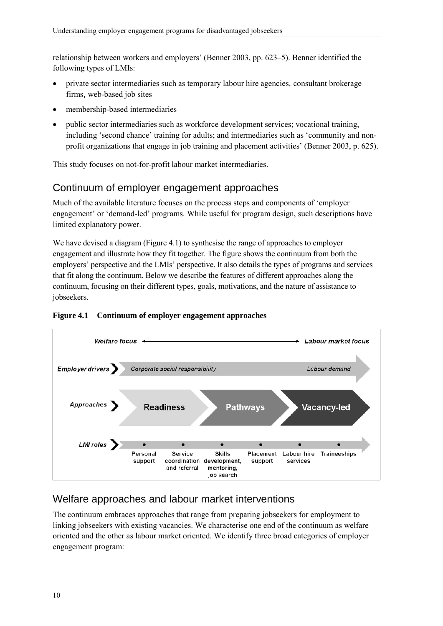relationship between workers and employers' (Benner 2003, pp. 623–5). Benner identified the following types of LMIs:

- private sector intermediaries such as temporary labour hire agencies, consultant brokerage firms, web-based job sites
- membership-based intermediaries
- public sector intermediaries such as workforce development services; vocational training, including 'second chance' training for adults; and intermediaries such as 'community and nonprofit organizations that engage in job training and placement activities' (Benner 2003, p. 625).

This study focuses on not-for-profit labour market intermediaries.

## <span id="page-19-0"></span>Continuum of employer engagement approaches

Much of the available literature focuses on the process steps and components of 'employer engagement' or 'demand-led' programs. While useful for program design, such descriptions have limited explanatory power.

We have devised a diagram [\(Figure 4.1\)](#page-19-2) to synthesise the range of approaches to employer engagement and illustrate how they fit together. The figure shows the continuum from both the employers' perspective and the LMIs' perspective. It also details the types of programs and services that fit along the continuum. Below we describe the features of different approaches along the continuum, focusing on their different types, goals, motivations, and the nature of assistance to jobseekers.



#### <span id="page-19-2"></span>**Figure 4.1 Continuum of employer engagement approaches**

# <span id="page-19-1"></span>Welfare approaches and labour market interventions

The continuum embraces approaches that range from preparing jobseekers for employment to linking jobseekers with existing vacancies. We characterise one end of the continuum as welfare oriented and the other as labour market oriented. We identify three broad categories of employer engagement program: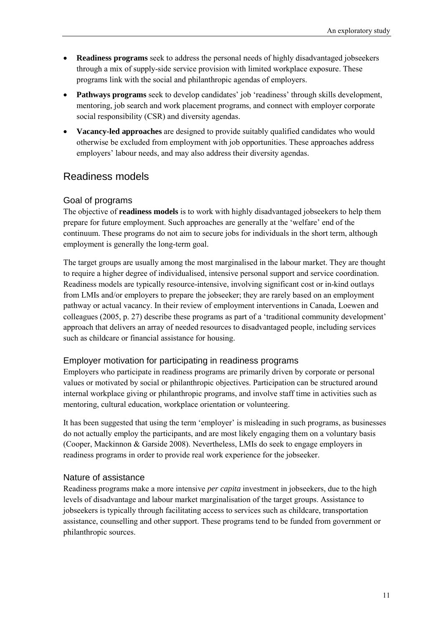- **Readiness programs** seek to address the personal needs of highly disadvantaged jobseekers through a mix of supply-side service provision with limited workplace exposure. These programs link with the social and philanthropic agendas of employers.
- **Pathways programs** seek to develop candidates' job 'readiness' through skills development, mentoring, job search and work placement programs, and connect with employer corporate social responsibility (CSR) and diversity agendas.
- **Vacancy-led approaches** are designed to provide suitably qualified candidates who would otherwise be excluded from employment with job opportunities. These approaches address employers' labour needs, and may also address their diversity agendas.

### <span id="page-20-0"></span>Readiness models

#### Goal of programs

The objective of **readiness models** is to work with highly disadvantaged jobseekers to help them prepare for future employment. Such approaches are generally at the 'welfare' end of the continuum. These programs do not aim to secure jobs for individuals in the short term, although employment is generally the long-term goal.

The target groups are usually among the most marginalised in the labour market. They are thought to require a higher degree of individualised, intensive personal support and service coordination. Readiness models are typically resource-intensive, involving significant cost or in-kind outlays from LMIs and/or employers to prepare the jobseeker; they are rarely based on an employment pathway or actual vacancy. In their review of employment interventions in Canada, Loewen and colleagues (2005, p. 27) describe these programs as part of a 'traditional community development' approach that delivers an array of needed resources to disadvantaged people, including services such as childcare or financial assistance for housing.

#### Employer motivation for participating in readiness programs

Employers who participate in readiness programs are primarily driven by corporate or personal values or motivated by social or philanthropic objectives. Participation can be structured around internal workplace giving or philanthropic programs, and involve staff time in activities such as mentoring, cultural education, workplace orientation or volunteering.

It has been suggested that using the term 'employer' is misleading in such programs, as businesses do not actually employ the participants, and are most likely engaging them on a voluntary basis (Cooper, Mackinnon & Garside 2008). Nevertheless, LMIs do seek to engage employers in readiness programs in order to provide real work experience for the jobseeker.

#### Nature of assistance

Readiness programs make a more intensive *per capita* investment in jobseekers, due to the high levels of disadvantage and labour market marginalisation of the target groups. Assistance to jobseekers is typically through facilitating access to services such as childcare, transportation assistance, counselling and other support. These programs tend to be funded from government or philanthropic sources.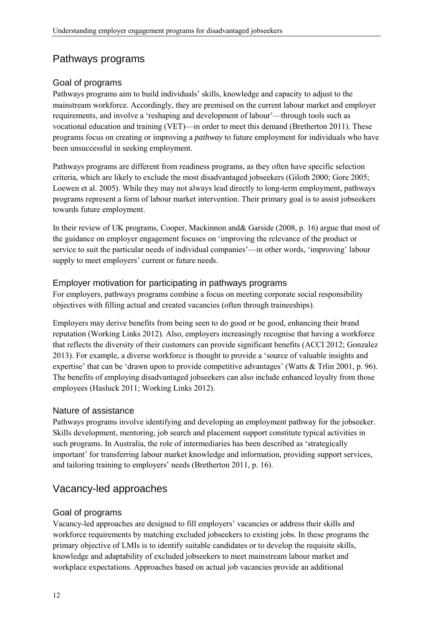# <span id="page-21-0"></span>Pathways programs

#### Goal of programs

Pathways programs aim to build individuals' skills, knowledge and capacity to adjust to the mainstream workforce. Accordingly, they are premised on the current labour market and employer requirements, and involve a 'reshaping and development of labour'—through tools such as vocational education and training (VET)—in order to meet this demand (Bretherton 2011). These programs focus on creating or improving a *pathway* to future employment for individuals who have been unsuccessful in seeking employment.

Pathways programs are different from readiness programs, as they often have specific selection criteria, which are likely to exclude the most disadvantaged jobseekers (Giloth 2000; Gore 2005; Loewen et al. 2005). While they may not always lead directly to long-term employment, pathways programs represent a form of labour market intervention. Their primary goal is to assist jobseekers towards future employment.

In their review of UK programs, Cooper, Mackinnon and& Garside (2008, p. 16) argue that most of the guidance on employer engagement focuses on 'improving the relevance of the product or service to suit the particular needs of individual companies'—in other words, 'improving' labour supply to meet employers' current or future needs.

#### Employer motivation for participating in pathways programs

For employers, pathways programs combine a focus on meeting corporate social responsibility objectives with filling actual and created vacancies (often through traineeships).

Employers may derive benefits from being seen to do good or be good, enhancing their brand reputation (Working Links 2012). Also, employers increasingly recognise that having a workforce that reflects the diversity of their customers can provide significant benefits (ACCI 2012; Gonzalez 2013). For example, a diverse workforce is thought to provide a 'source of valuable insights and expertise' that can be 'drawn upon to provide competitive advantages' (Watts & Trlin 2001, p. 96). The benefits of employing disadvantaged jobseekers can also include enhanced loyalty from those employees (Hasluck 2011; Working Links 2012).

#### Nature of assistance

Pathways programs involve identifying and developing an employment pathway for the jobseeker. Skills development, mentoring, job search and placement support constitute typical activities in such programs. In Australia, the role of intermediaries has been described as 'strategically important' for transferring labour market knowledge and information, providing support services, and tailoring training to employers' needs (Bretherton 2011, p. 16).

# <span id="page-21-1"></span>Vacancy-led approaches

#### Goal of programs

Vacancy-led approaches are designed to fill employers' vacancies or address their skills and workforce requirements by matching excluded jobseekers to existing jobs. In these programs the primary objective of LMIs is to identify suitable candidates or to develop the requisite skills, knowledge and adaptability of excluded jobseekers to meet mainstream labour market and workplace expectations. Approaches based on actual job vacancies provide an additional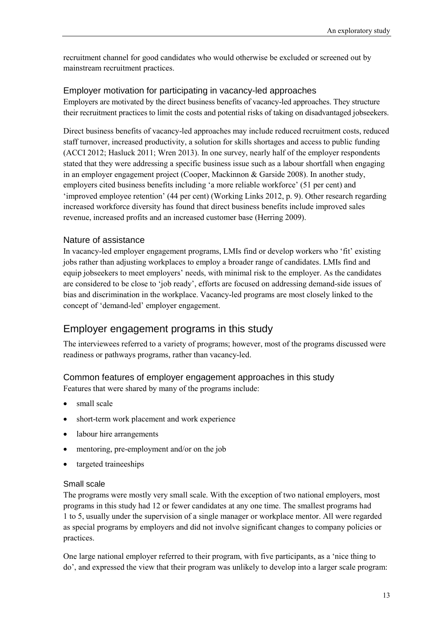recruitment channel for good candidates who would otherwise be excluded or screened out by mainstream recruitment practices.

#### Employer motivation for participating in vacancy-led approaches

Employers are motivated by the direct business benefits of vacancy-led approaches. They structure their recruitment practices to limit the costs and potential risks of taking on disadvantaged jobseekers.

Direct business benefits of vacancy-led approaches may include reduced recruitment costs, reduced staff turnover, increased productivity, a solution for skills shortages and access to public funding (ACCI 2012; Hasluck 2011; Wren 2013). In one survey, nearly half of the employer respondents stated that they were addressing a specific business issue such as a labour shortfall when engaging in an employer engagement project (Cooper, Mackinnon & Garside 2008). In another study, employers cited business benefits including 'a more reliable workforce' (51 per cent) and 'improved employee retention' (44 per cent) (Working Links 2012, p. 9). Other research regarding increased workforce diversity has found that direct business benefits include improved sales revenue, increased profits and an increased customer base (Herring 2009).

#### Nature of assistance

In vacancy-led employer engagement programs, LMIs find or develop workers who 'fit' existing jobs rather than adjusting workplaces to employ a broader range of candidates. LMIs find and equip jobseekers to meet employers' needs, with minimal risk to the employer. As the candidates are considered to be close to 'job ready', efforts are focused on addressing demand-side issues of bias and discrimination in the workplace. Vacancy-led programs are most closely linked to the concept of 'demand-led' employer engagement.

### <span id="page-22-0"></span>Employer engagement programs in this study

The interviewees referred to a variety of programs; however, most of the programs discussed were readiness or pathways programs, rather than vacancy-led.

#### Common features of employer engagement approaches in this study

Features that were shared by many of the programs include:

- small scale
- short-term work placement and work experience
- labour hire arrangements
- mentoring, pre-employment and/or on the job
- targeted traineeships

#### Small scale

The programs were mostly very small scale. With the exception of two national employers, most programs in this study had 12 or fewer candidates at any one time. The smallest programs had 1 to 5, usually under the supervision of a single manager or workplace mentor. All were regarded as special programs by employers and did not involve significant changes to company policies or practices.

One large national employer referred to their program, with five participants, as a 'nice thing to do', and expressed the view that their program was unlikely to develop into a larger scale program: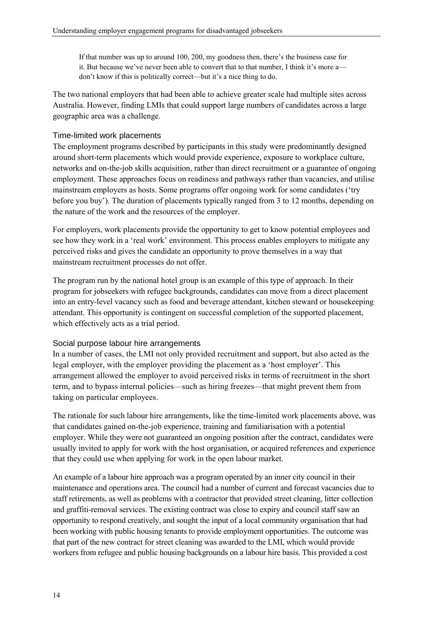If that number was up to around 100, 200, my goodness then, there's the business case for it. But because we've never been able to convert that to that number, I think it's more a don't know if this is politically correct—but it's a nice thing to do.

The two national employers that had been able to achieve greater scale had multiple sites across Australia. However, finding LMIs that could support large numbers of candidates across a large geographic area was a challenge.

#### Time-limited work placements

The employment programs described by participants in this study were predominantly designed around short-term placements which would provide experience, exposure to workplace culture, networks and on-the-job skills acquisition, rather than direct recruitment or a guarantee of ongoing employment. These approaches focus on readiness and pathways rather than vacancies, and utilise mainstream employers as hosts. Some programs offer ongoing work for some candidates ('try before you buy'). The duration of placements typically ranged from 3 to 12 months, depending on the nature of the work and the resources of the employer.

For employers, work placements provide the opportunity to get to know potential employees and see how they work in a 'real work' environment. This process enables employers to mitigate any perceived risks and gives the candidate an opportunity to prove themselves in a way that mainstream recruitment processes do not offer.

The program run by the national hotel group is an example of this type of approach. In their program for jobseekers with refugee backgrounds, candidates can move from a direct placement into an entry-level vacancy such as food and beverage attendant, kitchen steward or housekeeping attendant. This opportunity is contingent on successful completion of the supported placement, which effectively acts as a trial period.

#### Social purpose labour hire arrangements

In a number of cases, the LMI not only provided recruitment and support, but also acted as the legal employer, with the employer providing the placement as a 'host employer'. This arrangement allowed the employer to avoid perceived risks in terms of recruitment in the short term, and to bypass internal policies—such as hiring freezes—that might prevent them from taking on particular employees.

The rationale for such labour hire arrangements, like the time-limited work placements above, was that candidates gained on-the-job experience, training and familiarisation with a potential employer. While they were not guaranteed an ongoing position after the contract, candidates were usually invited to apply for work with the host organisation, or acquired references and experience that they could use when applying for work in the open labour market.

An example of a labour hire approach was a program operated by an inner city council in their maintenance and operations area. The council had a number of current and forecast vacancies due to staff retirements, as well as problems with a contractor that provided street cleaning, litter collection and graffiti-removal services. The existing contract was close to expiry and council staff saw an opportunity to respond creatively, and sought the input of a local community organisation that had been working with public housing tenants to provide employment opportunities. The outcome was that part of the new contract for street cleaning was awarded to the LMI, which would provide workers from refugee and public housing backgrounds on a labour hire basis. This provided a cost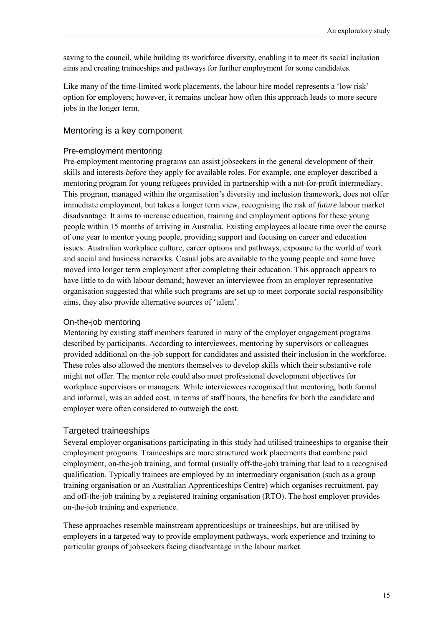saving to the council, while building its workforce diversity, enabling it to meet its social inclusion aims and creating traineeships and pathways for further employment for some candidates.

Like many of the time-limited work placements, the labour hire model represents a 'low risk' option for employers; however, it remains unclear how often this approach leads to more secure jobs in the longer term.

#### Mentoring is a key component

#### Pre-employment mentoring

Pre-employment mentoring programs can assist jobseekers in the general development of their skills and interests *before* they apply for available roles. For example, one employer described a mentoring program for young refugees provided in partnership with a not-for-profit intermediary. This program, managed within the organisation's diversity and inclusion framework, does not offer immediate employment, but takes a longer term view, recognising the risk of *future* labour market disadvantage. It aims to increase education, training and employment options for these young people within 15 months of arriving in Australia. Existing employees allocate time over the course of one year to mentor young people, providing support and focusing on career and education issues: Australian workplace culture, career options and pathways, exposure to the world of work and social and business networks. Casual jobs are available to the young people and some have moved into longer term employment after completing their education. This approach appears to have little to do with labour demand; however an interviewee from an employer representative organisation suggested that while such programs are set up to meet corporate social responsibility aims, they also provide alternative sources of 'talent'.

#### On-the-job mentoring

Mentoring by existing staff members featured in many of the employer engagement programs described by participants. According to interviewees, mentoring by supervisors or colleagues provided additional on-the-job support for candidates and assisted their inclusion in the workforce. These roles also allowed the mentors themselves to develop skills which their substantive role might not offer. The mentor role could also meet professional development objectives for workplace supervisors or managers. While interviewees recognised that mentoring, both formal and informal, was an added cost, in terms of staff hours, the benefits for both the candidate and employer were often considered to outweigh the cost.

#### Targeted traineeships

Several employer organisations participating in this study had utilised traineeships to organise their employment programs. Traineeships are more structured work placements that combine paid employment, on-the-job training, and formal (usually off-the-job) training that lead to a recognised qualification. Typically trainees are employed by an intermediary organisation (such as a group training organisation or an Australian Apprenticeships Centre) which organises recruitment, pay and off-the-job training by a registered training organisation (RTO). The host employer provides on-the-job training and experience.

These approaches resemble mainstream apprenticeships or traineeships, but are utilised by employers in a targeted way to provide employment pathways, work experience and training to particular groups of jobseekers facing disadvantage in the labour market.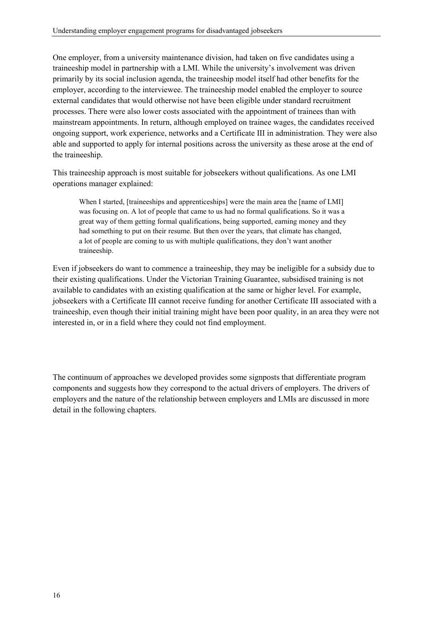One employer, from a university maintenance division, had taken on five candidates using a traineeship model in partnership with a LMI. While the university's involvement was driven primarily by its social inclusion agenda, the traineeship model itself had other benefits for the employer, according to the interviewee. The traineeship model enabled the employer to source external candidates that would otherwise not have been eligible under standard recruitment processes. There were also lower costs associated with the appointment of trainees than with mainstream appointments. In return, although employed on trainee wages, the candidates received ongoing support, work experience, networks and a Certificate III in administration. They were also able and supported to apply for internal positions across the university as these arose at the end of the traineeship.

This traineeship approach is most suitable for jobseekers without qualifications. As one LMI operations manager explained:

When I started, [traineeships and apprenticeships] were the main area the [name of LMI] was focusing on. A lot of people that came to us had no formal qualifications. So it was a great way of them getting formal qualifications, being supported, earning money and they had something to put on their resume. But then over the years, that climate has changed, a lot of people are coming to us with multiple qualifications, they don't want another traineeship.

Even if jobseekers do want to commence a traineeship, they may be ineligible for a subsidy due to their existing qualifications. Under the Victorian Training Guarantee, subsidised training is not available to candidates with an existing qualification at the same or higher level. For example, jobseekers with a Certificate III cannot receive funding for another Certificate III associated with a traineeship, even though their initial training might have been poor quality, in an area they were not interested in, or in a field where they could not find employment.

The continuum of approaches we developed provides some signposts that differentiate program components and suggests how they correspond to the actual drivers of employers. The drivers of employers and the nature of the relationship between employers and LMIs are discussed in more detail in the following chapters.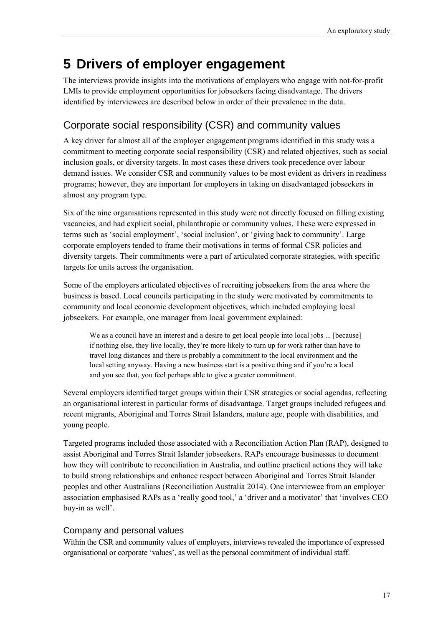# <span id="page-26-0"></span>**5 Drivers of employer engagement**

The interviews provide insights into the motivations of employers who engage with not-for-profit LMIs to provide employment opportunities for jobseekers facing disadvantage. The drivers identified by interviewees are described below in order of their prevalence in the data.

# <span id="page-26-1"></span>Corporate social responsibility (CSR) and community values

A key driver for almost all of the employer engagement programs identified in this study was a commitment to meeting corporate social responsibility (CSR) and related objectives, such as social inclusion goals, or diversity targets. In most cases these drivers took precedence over labour demand issues. We consider CSR and community values to be most evident as drivers in readiness programs; however, they are important for employers in taking on disadvantaged jobseekers in almost any program type.

Six of the nine organisations represented in this study were not directly focused on filling existing vacancies, and had explicit social, philanthropic or community values. These were expressed in terms such as 'social employment', 'social inclusion', or 'giving back to community'. Large corporate employers tended to frame their motivations in terms of formal CSR policies and diversity targets. Their commitments were a part of articulated corporate strategies, with specific targets for units across the organisation.

Some of the employers articulated objectives of recruiting jobseekers from the area where the business is based. Local councils participating in the study were motivated by commitments to community and local economic development objectives, which included employing local jobseekers. For example, one manager from local government explained:

We as a council have an interest and a desire to get local people into local jobs ... [because] if nothing else, they live locally, they're more likely to turn up for work rather than have to travel long distances and there is probably a commitment to the local environment and the local setting anyway. Having a new business start is a positive thing and if you're a local and you see that, you feel perhaps able to give a greater commitment.

Several employers identified target groups within their CSR strategies or social agendas, reflecting an organisational interest in particular forms of disadvantage. Target groups included refugees and recent migrants, Aboriginal and Torres Strait Islanders, mature age, people with disabilities, and young people.

Targeted programs included those associated with a Reconciliation Action Plan (RAP), designed to assist Aboriginal and Torres Strait Islander jobseekers. RAPs encourage businesses to document how they will contribute to reconciliation in Australia, and outline practical actions they will take to build strong relationships and enhance respect between Aboriginal and Torres Strait Islander peoples and other Australians (Reconciliation Australia 2014). One interviewee from an employer association emphasised RAPs as a 'really good tool,' a 'driver and a motivator' that 'involves CEO buy-in as well'.

#### Company and personal values

Within the CSR and community values of employers, interviews revealed the importance of expressed organisational or corporate 'values', as well as the personal commitment of individual staff.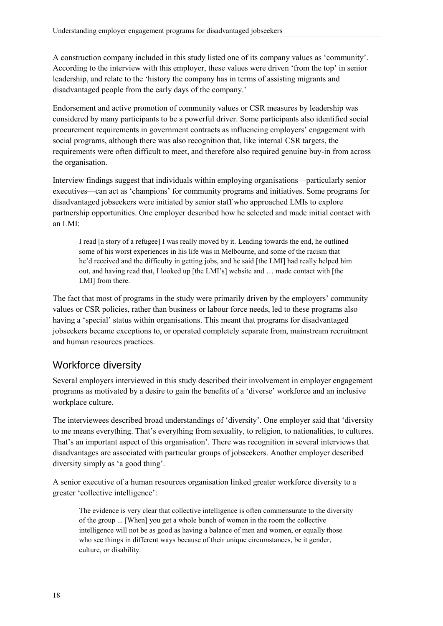A construction company included in this study listed one of its company values as 'community'. According to the interview with this employer, these values were driven 'from the top' in senior leadership, and relate to the 'history the company has in terms of assisting migrants and disadvantaged people from the early days of the company.'

Endorsement and active promotion of community values or CSR measures by leadership was considered by many participants to be a powerful driver. Some participants also identified social procurement requirements in government contracts as influencing employers' engagement with social programs, although there was also recognition that, like internal CSR targets, the requirements were often difficult to meet, and therefore also required genuine buy-in from across the organisation.

Interview findings suggest that individuals within employing organisations—particularly senior executives—can act as 'champions' for community programs and initiatives. Some programs for disadvantaged jobseekers were initiated by senior staff who approached LMIs to explore partnership opportunities. One employer described how he selected and made initial contact with an LMI:

I read [a story of a refugee] I was really moved by it. Leading towards the end, he outlined some of his worst experiences in his life was in Melbourne, and some of the racism that he'd received and the difficulty in getting jobs, and he said [the LMI] had really helped him out, and having read that, I looked up [the LMI's] website and … made contact with [the LMI] from there.

The fact that most of programs in the study were primarily driven by the employers' community values or CSR policies, rather than business or labour force needs, led to these programs also having a 'special' status within organisations. This meant that programs for disadvantaged jobseekers became exceptions to, or operated completely separate from, mainstream recruitment and human resources practices.

# <span id="page-27-0"></span>Workforce diversity

Several employers interviewed in this study described their involvement in employer engagement programs as motivated by a desire to gain the benefits of a 'diverse' workforce and an inclusive workplace culture.

The interviewees described broad understandings of 'diversity'. One employer said that 'diversity to me means everything. That's everything from sexuality, to religion, to nationalities, to cultures. That's an important aspect of this organisation'. There was recognition in several interviews that disadvantages are associated with particular groups of jobseekers. Another employer described diversity simply as 'a good thing'.

A senior executive of a human resources organisation linked greater workforce diversity to a greater 'collective intelligence':

The evidence is very clear that collective intelligence is often commensurate to the diversity of the group ... [When] you get a whole bunch of women in the room the collective intelligence will not be as good as having a balance of men and women, or equally those who see things in different ways because of their unique circumstances, be it gender, culture, or disability.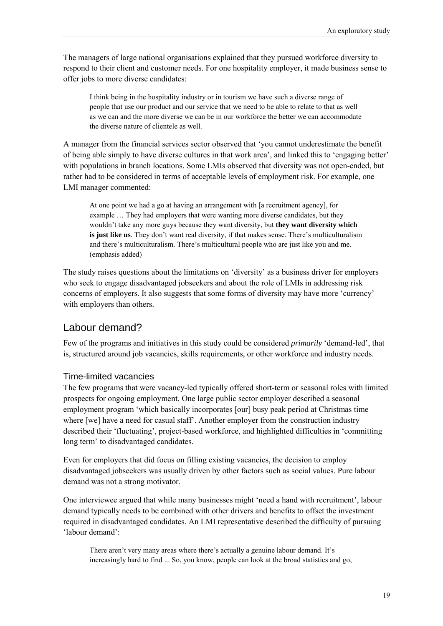The managers of large national organisations explained that they pursued workforce diversity to respond to their client and customer needs. For one hospitality employer, it made business sense to offer jobs to more diverse candidates:

I think being in the hospitality industry or in tourism we have such a diverse range of people that use our product and our service that we need to be able to relate to that as well as we can and the more diverse we can be in our workforce the better we can accommodate the diverse nature of clientele as well.

A manager from the financial services sector observed that 'you cannot underestimate the benefit of being able simply to have diverse cultures in that work area', and linked this to 'engaging better' with populations in branch locations. Some LMIs observed that diversity was not open-ended, but rather had to be considered in terms of acceptable levels of employment risk. For example, one LMI manager commented:

At one point we had a go at having an arrangement with [a recruitment agency], for example … They had employers that were wanting more diverse candidates, but they wouldn't take any more guys because they want diversity, but **they want diversity which is just like us**. They don't want real diversity, if that makes sense. There's multiculturalism and there's multiculturalism. There's multicultural people who are just like you and me. (emphasis added)

The study raises questions about the limitations on 'diversity' as a business driver for employers who seek to engage disadvantaged jobseekers and about the role of LMIs in addressing risk concerns of employers. It also suggests that some forms of diversity may have more 'currency' with employers than others.

#### <span id="page-28-0"></span>Labour demand?

Few of the programs and initiatives in this study could be considered *primarily* 'demand-led', that is, structured around job vacancies, skills requirements, or other workforce and industry needs.

#### Time-limited vacancies

The few programs that were vacancy-led typically offered short-term or seasonal roles with limited prospects for ongoing employment. One large public sector employer described a seasonal employment program 'which basically incorporates [our] busy peak period at Christmas time where [we] have a need for casual staff'. Another employer from the construction industry described their 'fluctuating', project-based workforce, and highlighted difficulties in 'committing long term' to disadvantaged candidates.

Even for employers that did focus on filling existing vacancies, the decision to employ disadvantaged jobseekers was usually driven by other factors such as social values. Pure labour demand was not a strong motivator.

One interviewee argued that while many businesses might 'need a hand with recruitment', labour demand typically needs to be combined with other drivers and benefits to offset the investment required in disadvantaged candidates. An LMI representative described the difficulty of pursuing 'labour demand':

There aren't very many areas where there's actually a genuine labour demand. It's increasingly hard to find ... So, you know, people can look at the broad statistics and go,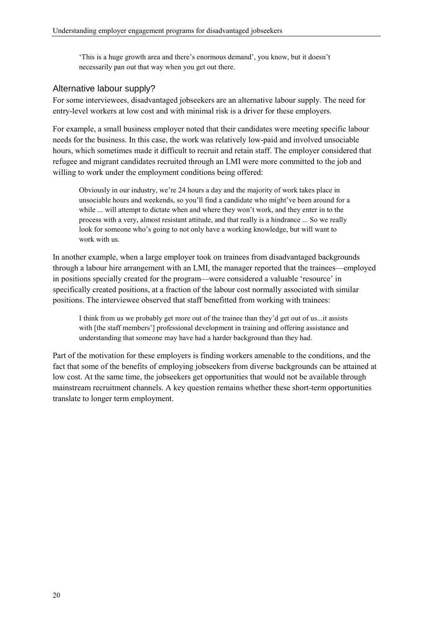'This is a huge growth area and there's enormous demand', you know, but it doesn't necessarily pan out that way when you get out there.

#### Alternative labour supply?

For some interviewees, disadvantaged jobseekers are an alternative labour supply. The need for entry-level workers at low cost and with minimal risk is a driver for these employers.

For example, a small business employer noted that their candidates were meeting specific labour needs for the business. In this case, the work was relatively low-paid and involved unsociable hours, which sometimes made it difficult to recruit and retain staff. The employer considered that refugee and migrant candidates recruited through an LMI were more committed to the job and willing to work under the employment conditions being offered:

Obviously in our industry, we're 24 hours a day and the majority of work takes place in unsociable hours and weekends, so you'll find a candidate who might've been around for a while ... will attempt to dictate when and where they won't work, and they enter in to the process with a very, almost resistant attitude, and that really is a hindrance ... So we really look for someone who's going to not only have a working knowledge, but will want to work with us.

In another example, when a large employer took on trainees from disadvantaged backgrounds through a labour hire arrangement with an LMI, the manager reported that the trainees—employed in positions specially created for the program—were considered a valuable 'resource' in specifically created positions, at a fraction of the labour cost normally associated with similar positions. The interviewee observed that staff benefitted from working with trainees:

I think from us we probably get more out of the trainee than they'd get out of us...it assists with [the staff members'] professional development in training and offering assistance and understanding that someone may have had a harder background than they had.

Part of the motivation for these employers is finding workers amenable to the conditions, and the fact that some of the benefits of employing jobseekers from diverse backgrounds can be attained at low cost. At the same time, the jobseekers get opportunities that would not be available through mainstream recruitment channels. A key question remains whether these short-term opportunities translate to longer term employment.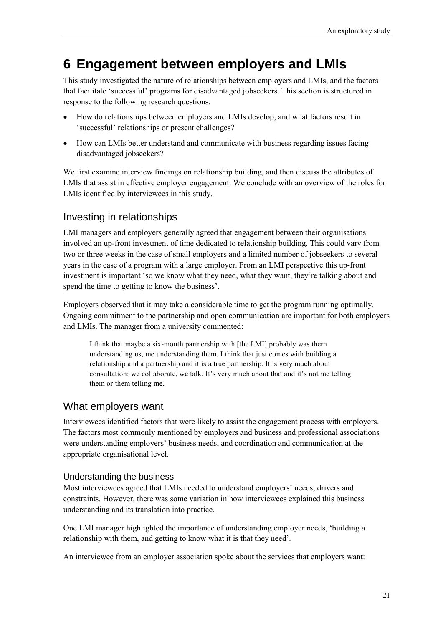# <span id="page-30-0"></span>**6 Engagement between employers and LMIs**

This study investigated the nature of relationships between employers and LMIs, and the factors that facilitate 'successful' programs for disadvantaged jobseekers. This section is structured in response to the following research questions:

- How do relationships between employers and LMIs develop, and what factors result in 'successful' relationships or present challenges?
- How can LMIs better understand and communicate with business regarding issues facing disadvantaged jobseekers?

We first examine interview findings on relationship building, and then discuss the attributes of LMIs that assist in effective employer engagement. We conclude with an overview of the roles for LMIs identified by interviewees in this study.

# <span id="page-30-1"></span>Investing in relationships

LMI managers and employers generally agreed that engagement between their organisations involved an up-front investment of time dedicated to relationship building. This could vary from two or three weeks in the case of small employers and a limited number of jobseekers to several years in the case of a program with a large employer. From an LMI perspective this up-front investment is important 'so we know what they need, what they want, they're talking about and spend the time to getting to know the business'.

Employers observed that it may take a considerable time to get the program running optimally. Ongoing commitment to the partnership and open communication are important for both employers and LMIs. The manager from a university commented:

I think that maybe a six-month partnership with [the LMI] probably was them understanding us, me understanding them. I think that just comes with building a relationship and a partnership and it is a true partnership. It is very much about consultation: we collaborate, we talk. It's very much about that and it's not me telling them or them telling me.

### <span id="page-30-2"></span>What employers want

Interviewees identified factors that were likely to assist the engagement process with employers. The factors most commonly mentioned by employers and business and professional associations were understanding employers' business needs, and coordination and communication at the appropriate organisational level.

#### Understanding the business

Most interviewees agreed that LMIs needed to understand employers' needs, drivers and constraints. However, there was some variation in how interviewees explained this business understanding and its translation into practice.

One LMI manager highlighted the importance of understanding employer needs, 'building a relationship with them, and getting to know what it is that they need'.

An interviewee from an employer association spoke about the services that employers want: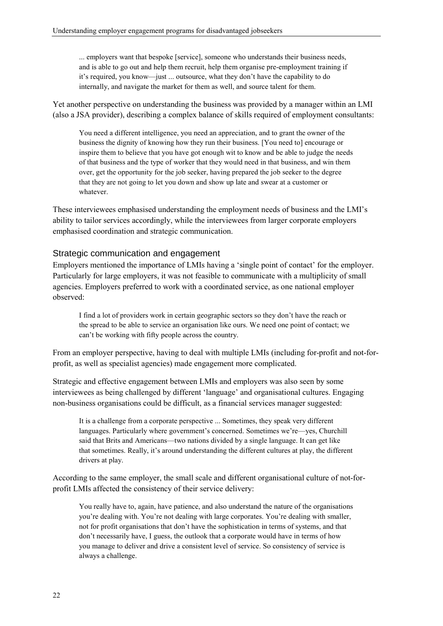... employers want that bespoke [service], someone who understands their business needs, and is able to go out and help them recruit, help them organise pre-employment training if it's required, you know—just ... outsource, what they don't have the capability to do internally, and navigate the market for them as well, and source talent for them.

Yet another perspective on understanding the business was provided by a manager within an LMI (also a JSA provider), describing a complex balance of skills required of employment consultants:

You need a different intelligence, you need an appreciation, and to grant the owner of the business the dignity of knowing how they run their business. [You need to] encourage or inspire them to believe that you have got enough wit to know and be able to judge the needs of that business and the type of worker that they would need in that business, and win them over, get the opportunity for the job seeker, having prepared the job seeker to the degree that they are not going to let you down and show up late and swear at a customer or whatever.

These interviewees emphasised understanding the employment needs of business and the LMI's ability to tailor services accordingly, while the interviewees from larger corporate employers emphasised coordination and strategic communication.

#### Strategic communication and engagement

Employers mentioned the importance of LMIs having a 'single point of contact' for the employer. Particularly for large employers, it was not feasible to communicate with a multiplicity of small agencies. Employers preferred to work with a coordinated service, as one national employer observed:

I find a lot of providers work in certain geographic sectors so they don't have the reach or the spread to be able to service an organisation like ours. We need one point of contact; we can't be working with fifty people across the country.

From an employer perspective, having to deal with multiple LMIs (including for-profit and not-forprofit, as well as specialist agencies) made engagement more complicated.

Strategic and effective engagement between LMIs and employers was also seen by some interviewees as being challenged by different 'language' and organisational cultures. Engaging non-business organisations could be difficult, as a financial services manager suggested:

It is a challenge from a corporate perspective ... Sometimes, they speak very different languages. Particularly where government's concerned. Sometimes we're—yes, Churchill said that Brits and Americans—two nations divided by a single language. It can get like that sometimes. Really, it's around understanding the different cultures at play, the different drivers at play.

According to the same employer, the small scale and different organisational culture of not-forprofit LMIs affected the consistency of their service delivery:

You really have to, again, have patience, and also understand the nature of the organisations you're dealing with. You're not dealing with large corporates. You're dealing with smaller, not for profit organisations that don't have the sophistication in terms of systems, and that don't necessarily have, I guess, the outlook that a corporate would have in terms of how you manage to deliver and drive a consistent level of service. So consistency of service is always a challenge.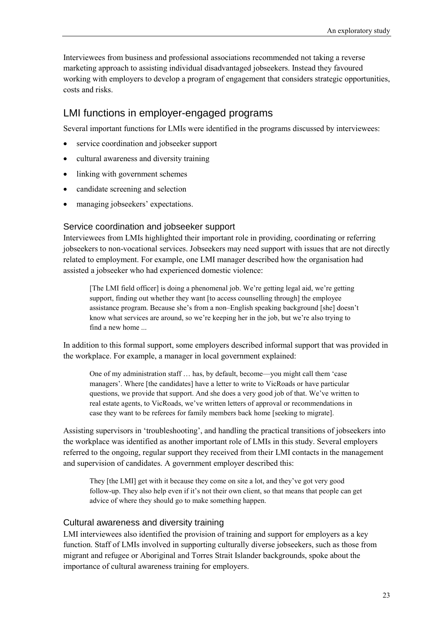Interviewees from business and professional associations recommended not taking a reverse marketing approach to assisting individual disadvantaged jobseekers. Instead they favoured working with employers to develop a program of engagement that considers strategic opportunities, costs and risks.

### <span id="page-32-0"></span>LMI functions in employer-engaged programs

Several important functions for LMIs were identified in the programs discussed by interviewees:

- service coordination and jobseeker support
- cultural awareness and diversity training
- linking with government schemes
- candidate screening and selection
- managing jobseekers' expectations.

#### Service coordination and jobseeker support

Interviewees from LMIs highlighted their important role in providing, coordinating or referring jobseekers to non-vocational services. Jobseekers may need support with issues that are not directly related to employment. For example, one LMI manager described how the organisation had assisted a jobseeker who had experienced domestic violence:

[The LMI field officer] is doing a phenomenal job. We're getting legal aid, we're getting support, finding out whether they want [to access counselling through] the employee assistance program. Because she's from a non–English speaking background [she] doesn't know what services are around, so we're keeping her in the job, but we're also trying to find a new home ...

In addition to this formal support, some employers described informal support that was provided in the workplace. For example, a manager in local government explained:

One of my administration staff … has, by default, become—you might call them 'case managers'. Where [the candidates] have a letter to write to VicRoads or have particular questions, we provide that support. And she does a very good job of that. We've written to real estate agents, to VicRoads, we've written letters of approval or recommendations in case they want to be referees for family members back home [seeking to migrate].

Assisting supervisors in 'troubleshooting', and handling the practical transitions of jobseekers into the workplace was identified as another important role of LMIs in this study. Several employers referred to the ongoing, regular support they received from their LMI contacts in the management and supervision of candidates. A government employer described this:

They [the LMI] get with it because they come on site a lot, and they've got very good follow-up. They also help even if it's not their own client, so that means that people can get advice of where they should go to make something happen.

#### Cultural awareness and diversity training

LMI interviewees also identified the provision of training and support for employers as a key function. Staff of LMIs involved in supporting culturally diverse jobseekers, such as those from migrant and refugee or Aboriginal and Torres Strait Islander backgrounds, spoke about the importance of cultural awareness training for employers.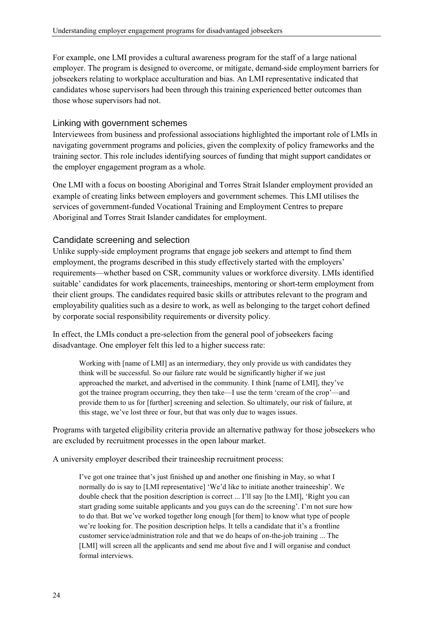For example, one LMI provides a cultural awareness program for the staff of a large national employer. The program is designed to overcome, or mitigate, demand-side employment barriers for jobseekers relating to workplace acculturation and bias. An LMI representative indicated that candidates whose supervisors had been through this training experienced better outcomes than those whose supervisors had not.

#### Linking with government schemes

Interviewees from business and professional associations highlighted the important role of LMIs in navigating government programs and policies, given the complexity of policy frameworks and the training sector. This role includes identifying sources of funding that might support candidates or the employer engagement program as a whole.

One LMI with a focus on boosting Aboriginal and Torres Strait Islander employment provided an example of creating links between employers and government schemes. This LMI utilises the services of government-funded Vocational Training and Employment Centres to prepare Aboriginal and Torres Strait Islander candidates for employment.

#### Candidate screening and selection

Unlike supply-side employment programs that engage job seekers and attempt to find them employment, the programs described in this study effectively started with the employers' requirements—whether based on CSR, community values or workforce diversity. LMIs identified suitable' candidates for work placements, traineeships, mentoring or short-term employment from their client groups. The candidates required basic skills or attributes relevant to the program and employability qualities such as a desire to work, as well as belonging to the target cohort defined by corporate social responsibility requirements or diversity policy.

In effect, the LMIs conduct a pre-selection from the general pool of jobseekers facing disadvantage. One employer felt this led to a higher success rate:

Working with [name of LMI] as an intermediary, they only provide us with candidates they think will be successful. So our failure rate would be significantly higher if we just approached the market, and advertised in the community. I think [name of LMI], they've got the trainee program occurring, they then take—I use the term 'cream of the crop'—and provide them to us for [further] screening and selection. So ultimately, our risk of failure, at this stage, we've lost three or four, but that was only due to wages issues.

Programs with targeted eligibility criteria provide an alternative pathway for those jobseekers who are excluded by recruitment processes in the open labour market.

A university employer described their traineeship recruitment process:

I've got one trainee that's just finished up and another one finishing in May, so what I normally do is say to [LMI representative] 'We'd like to initiate another traineeship'. We double check that the position description is correct ... I'll say [to the LMI], 'Right you can start grading some suitable applicants and you guys can do the screening'. I'm not sure how to do that. But we've worked together long enough [for them] to know what type of people we're looking for. The position description helps. It tells a candidate that it's a frontline customer service/administration role and that we do heaps of on-the-job training ... The [LMI] will screen all the applicants and send me about five and I will organise and conduct formal interviews.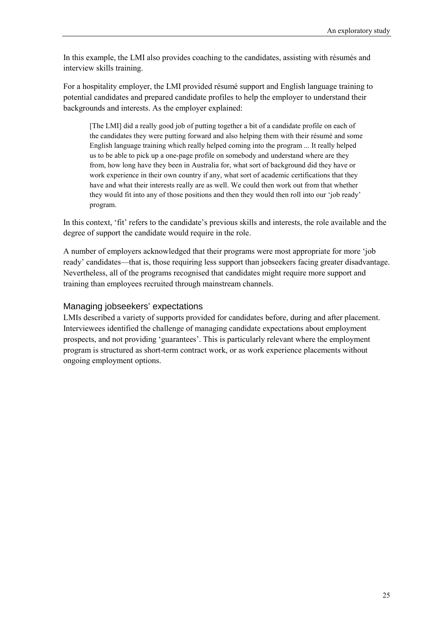In this example, the LMI also provides coaching to the candidates, assisting with résumés and interview skills training.

For a hospitality employer, the LMI provided résumé support and English language training to potential candidates and prepared candidate profiles to help the employer to understand their backgrounds and interests. As the employer explained:

[The LMI] did a really good job of putting together a bit of a candidate profile on each of the candidates they were putting forward and also helping them with their résumé and some English language training which really helped coming into the program ... It really helped us to be able to pick up a one-page profile on somebody and understand where are they from, how long have they been in Australia for, what sort of background did they have or work experience in their own country if any, what sort of academic certifications that they have and what their interests really are as well. We could then work out from that whether they would fit into any of those positions and then they would then roll into our 'job ready' program.

In this context, 'fit' refers to the candidate's previous skills and interests, the role available and the degree of support the candidate would require in the role.

A number of employers acknowledged that their programs were most appropriate for more 'job ready' candidates—that is, those requiring less support than jobseekers facing greater disadvantage. Nevertheless, all of the programs recognised that candidates might require more support and training than employees recruited through mainstream channels.

#### Managing jobseekers' expectations

LMIs described a variety of supports provided for candidates before, during and after placement. Interviewees identified the challenge of managing candidate expectations about employment prospects, and not providing 'guarantees'. This is particularly relevant where the employment program is structured as short-term contract work, or as work experience placements without ongoing employment options.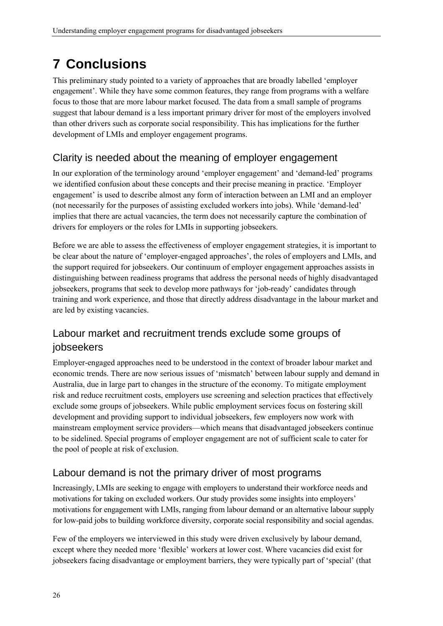# <span id="page-35-0"></span>**7 Conclusions**

This preliminary study pointed to a variety of approaches that are broadly labelled 'employer engagement'. While they have some common features, they range from programs with a welfare focus to those that are more labour market focused. The data from a small sample of programs suggest that labour demand is a less important primary driver for most of the employers involved than other drivers such as corporate social responsibility. This has implications for the further development of LMIs and employer engagement programs.

# Clarity is needed about the meaning of employer engagement

In our exploration of the terminology around 'employer engagement' and 'demand-led' programs we identified confusion about these concepts and their precise meaning in practice. 'Employer engagement' is used to describe almost any form of interaction between an LMI and an employer (not necessarily for the purposes of assisting excluded workers into jobs). While 'demand-led' implies that there are actual vacancies, the term does not necessarily capture the combination of drivers for employers or the roles for LMIs in supporting jobseekers.

Before we are able to assess the effectiveness of employer engagement strategies, it is important to be clear about the nature of 'employer-engaged approaches', the roles of employers and LMIs, and the support required for jobseekers. Our continuum of employer engagement approaches assists in distinguishing between readiness programs that address the personal needs of highly disadvantaged jobseekers, programs that seek to develop more pathways for 'job-ready' candidates through training and work experience, and those that directly address disadvantage in the labour market and are led by existing vacancies.

# Labour market and recruitment trends exclude some groups of jobseekers

Employer-engaged approaches need to be understood in the context of broader labour market and economic trends. There are now serious issues of 'mismatch' between labour supply and demand in Australia, due in large part to changes in the structure of the economy. To mitigate employment risk and reduce recruitment costs, employers use screening and selection practices that effectively exclude some groups of jobseekers. While public employment services focus on fostering skill development and providing support to individual jobseekers, few employers now work with mainstream employment service providers—which means that disadvantaged jobseekers continue to be sidelined. Special programs of employer engagement are not of sufficient scale to cater for the pool of people at risk of exclusion.

# Labour demand is not the primary driver of most programs

Increasingly, LMIs are seeking to engage with employers to understand their workforce needs and motivations for taking on excluded workers. Our study provides some insights into employers' motivations for engagement with LMIs, ranging from labour demand or an alternative labour supply for low-paid jobs to building workforce diversity, corporate social responsibility and social agendas.

Few of the employers we interviewed in this study were driven exclusively by labour demand, except where they needed more 'flexible' workers at lower cost. Where vacancies did exist for jobseekers facing disadvantage or employment barriers, they were typically part of 'special' (that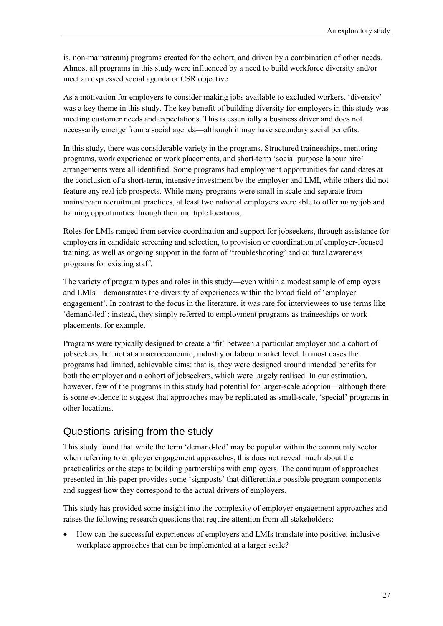is. non-mainstream) programs created for the cohort, and driven by a combination of other needs. Almost all programs in this study were influenced by a need to build workforce diversity and/or meet an expressed social agenda or CSR objective.

As a motivation for employers to consider making jobs available to excluded workers, 'diversity' was a key theme in this study. The key benefit of building diversity for employers in this study was meeting customer needs and expectations. This is essentially a business driver and does not necessarily emerge from a social agenda—although it may have secondary social benefits.

In this study, there was considerable variety in the programs. Structured traineeships, mentoring programs, work experience or work placements, and short-term 'social purpose labour hire' arrangements were all identified. Some programs had employment opportunities for candidates at the conclusion of a short-term, intensive investment by the employer and LMI, while others did not feature any real job prospects. While many programs were small in scale and separate from mainstream recruitment practices, at least two national employers were able to offer many job and training opportunities through their multiple locations.

Roles for LMIs ranged from service coordination and support for jobseekers, through assistance for employers in candidate screening and selection, to provision or coordination of employer-focused training, as well as ongoing support in the form of 'troubleshooting' and cultural awareness programs for existing staff.

The variety of program types and roles in this study—even within a modest sample of employers and LMIs—demonstrates the diversity of experiences within the broad field of 'employer engagement'. In contrast to the focus in the literature, it was rare for interviewees to use terms like 'demand-led'; instead, they simply referred to employment programs as traineeships or work placements, for example.

Programs were typically designed to create a 'fit' between a particular employer and a cohort of jobseekers, but not at a macroeconomic, industry or labour market level. In most cases the programs had limited, achievable aims: that is, they were designed around intended benefits for both the employer and a cohort of jobseekers, which were largely realised. In our estimation, however, few of the programs in this study had potential for larger-scale adoption—although there is some evidence to suggest that approaches may be replicated as small-scale, 'special' programs in other locations.

### Questions arising from the study

This study found that while the term 'demand-led' may be popular within the community sector when referring to employer engagement approaches, this does not reveal much about the practicalities or the steps to building partnerships with employers. The continuum of approaches presented in this paper provides some 'signposts' that differentiate possible program components and suggest how they correspond to the actual drivers of employers.

This study has provided some insight into the complexity of employer engagement approaches and raises the following research questions that require attention from all stakeholders:

• How can the successful experiences of employers and LMIs translate into positive, inclusive workplace approaches that can be implemented at a larger scale?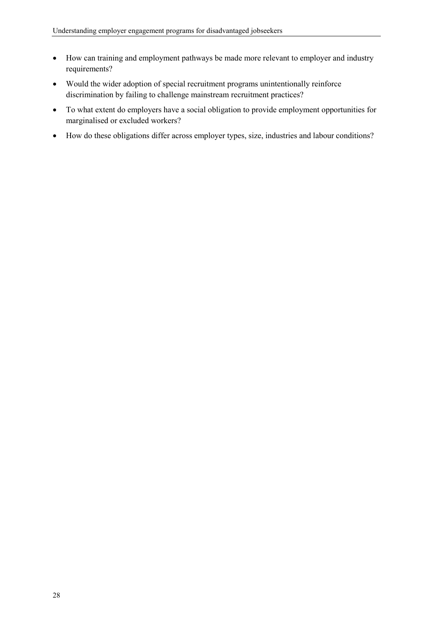- How can training and employment pathways be made more relevant to employer and industry requirements?
- Would the wider adoption of special recruitment programs unintentionally reinforce discrimination by failing to challenge mainstream recruitment practices?
- To what extent do employers have a social obligation to provide employment opportunities for marginalised or excluded workers?
- How do these obligations differ across employer types, size, industries and labour conditions?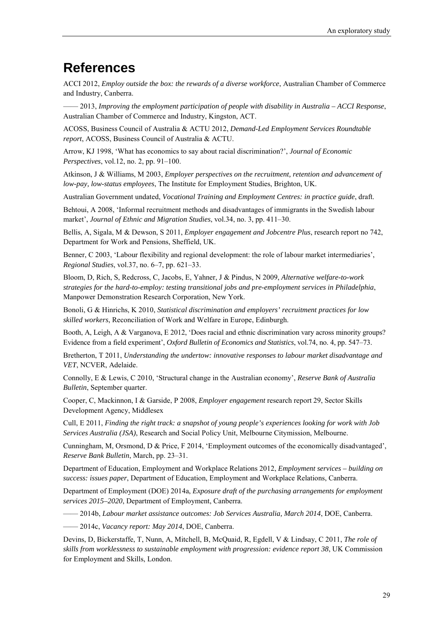# <span id="page-38-0"></span>**References**

ACCI 2012, *Employ outside the box: the rewards of a diverse workforce*, Australian Chamber of Commerce and Industry, Canberra.

—— 2013, *Improving the employment participation of people with disability in Australia – ACCI Response*, Australian Chamber of Commerce and Industry, Kingston, ACT.

ACOSS, Business Council of Australia & ACTU 2012, *Demand-Led Employment Services Roundtable report*, ACOSS, Business Council of Australia & ACTU.

Arrow, KJ 1998, 'What has economics to say about racial discrimination?', *Journal of Economic Perspectives*, vol.12, no. 2, pp. 91–100.

Atkinson, J & Williams, M 2003, *Employer perspectives on the recruitment, retention and advancement of low-pay, low-status employees*, The Institute for Employment Studies, Brighton, UK.

Australian Government undated, *Vocational Training and Employment Centres: in practice guide*, draft.

Behtoui, A 2008, 'Informal recruitment methods and disadvantages of immigrants in the Swedish labour market', *Journal of Ethnic and Migration Studies*, vol.34, no. 3, pp. 411–30.

Bellis, A, Sigala, M & Dewson, S 2011, *Employer engagement and Jobcentre Plus*, research report no 742, Department for Work and Pensions, Sheffield, UK.

Benner, C 2003, 'Labour flexibility and regional development: the role of labour market intermediaries', *Regional Studies*, vol.37, no. 6–7, pp. 621–33.

Bloom, D, Rich, S, Redcross, C, Jacobs, E, Yahner, J & Pindus, N 2009, *Alternative welfare-to-work strategies for the hard-to-employ: testing transitional jobs and pre-employment services in Philadelphia*, Manpower Demonstration Research Corporation, New York.

Bonoli, G & Hinrichs, K 2010, *Statistical discrimination and employers' recruitment practices for low skilled workers*, Reconciliation of Work and Welfare in Europe, Edinburgh.

Booth, A, Leigh, A & Varganova, E 2012, 'Does racial and ethnic discrimination vary across minority groups? Evidence from a field experiment', *Oxford Bulletin of Economics and Statistics*, vol.74, no. 4, pp. 547–73.

Bretherton, T 2011, *Understanding the undertow: innovative responses to labour market disadvantage and VET*, NCVER, Adelaide.

Connolly, E & Lewis, C 2010, 'Structural change in the Australian economy', *Reserve Bank of Australia Bulletin*, September quarter.

Cooper, C, Mackinnon, I & Garside, P 2008, *Employer engagement* research report 29, Sector Skills Development Agency, Middlesex

Cull, E 2011, *Finding the right track: a snapshot of young people's experiences looking for work with Job Services Australia (JSA)*, Research and Social Policy Unit, Melbourne Citymission, Melbourne.

Cunningham, M, Orsmond, D & Price, F 2014, 'Employment outcomes of the economically disadvantaged', *Reserve Bank Bulletin*, March, pp. 23–31.

Department of Education, Employment and Workplace Relations 2012, *Employment services – building on success: issues paper*, Department of Education, Employment and Workplace Relations, Canberra.

Department of Employment (DOE) 2014a, *Exposure draft of the purchasing arrangements for employment services 2015–2020*, Department of Employment, Canberra.

—— 2014b, *Labour market assistance outcomes: Job Services Australia, March 2014*, DOE, Canberra.

—— 2014c, *Vacancy report: May 2014*, DOE, Canberra.

Devins, D, Bickerstaffe, T, Nunn, A, Mitchell, B, McQuaid, R, Egdell, V & Lindsay, C 2011, *The role of skills from worklessness to sustainable employment with progression: evidence report 38*, UK Commission for Employment and Skills, London.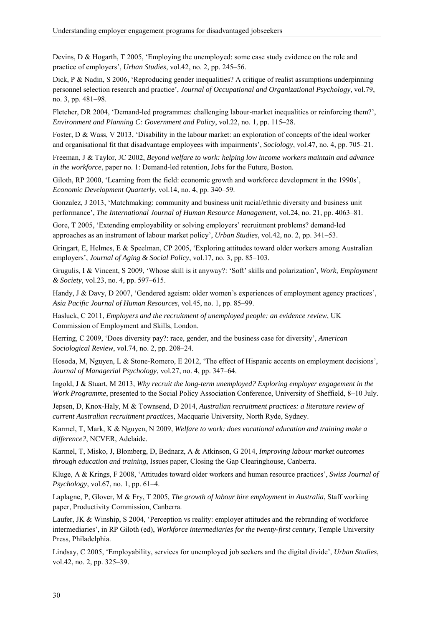Devins, D & Hogarth, T 2005, 'Employing the unemployed: some case study evidence on the role and practice of employers', *Urban Studies*, vol.42, no. 2, pp. 245–56.

Dick, P & Nadin, S 2006, 'Reproducing gender inequalities? A critique of realist assumptions underpinning personnel selection research and practice', *Journal of Occupational and Organizational Psychology*, vol.79, no. 3, pp. 481–98.

Fletcher, DR 2004, 'Demand-led programmes: challenging labour-market inequalities or reinforcing them?', *Environment and Planning C: Government and Policy*, vol.22, no. 1, pp. 115–28.

Foster, D & Wass, V 2013, 'Disability in the labour market: an exploration of concepts of the ideal worker and organisational fit that disadvantage employees with impairments', *Sociology*, vol.47, no. 4, pp. 705–21.

Freeman, J & Taylor, JC 2002, *Beyond welfare to work: helping low income workers maintain and advance in the workforce*, paper no. 1: Demand-led retention, Jobs for the Future, Boston.

Giloth, RP 2000, 'Learning from the field: economic growth and workforce development in the 1990s', *Economic Development Quarterly*, vol.14, no. 4, pp. 340–59.

Gonzalez, J 2013, 'Matchmaking: community and business unit racial/ethnic diversity and business unit performance', *The International Journal of Human Resource Management*, vol.24, no. 21, pp. 4063–81.

Gore, T 2005, 'Extending employability or solving employers' recruitment problems? demand-led approaches as an instrument of labour market policy', *Urban Studies*, vol.42, no. 2, pp. 341–53.

Gringart, E, Helmes, E & Speelman, CP 2005, 'Exploring attitudes toward older workers among Australian employers', *Journal of Aging & Social Policy*, vol.17, no. 3, pp. 85–103.

Grugulis, I & Vincent, S 2009, 'Whose skill is it anyway?: 'Soft' skills and polarization', *Work, Employment & Society*, vol.23, no. 4, pp. 597–615.

Handy, J & Davy, D 2007, 'Gendered ageism: older women's experiences of employment agency practices', *Asia Pacific Journal of Human Resources*, vol.45, no. 1, pp. 85–99.

Hasluck, C 2011, *Employers and the recruitment of unemployed people: an evidence review*, UK Commission of Employment and Skills, London.

Herring, C 2009, 'Does diversity pay?: race, gender, and the business case for diversity', *American Sociological Review*, vol.74, no. 2, pp. 208–24.

Hosoda, M, Nguyen, L & Stone-Romero, E 2012, 'The effect of Hispanic accents on employment decisions', *Journal of Managerial Psychology*, vol.27, no. 4, pp. 347–64.

Ingold, J & Stuart, M 2013, *Why recruit the long-term unemployed? Exploring employer engagement in the Work Programme*, presented to the Social Policy Association Conference, University of Sheffield, 8–10 July.

Jepsen, D, Knox-Haly, M & Townsend, D 2014, *Australian recruitment practices: a literature review of current Australian recruitment practices*, Macquarie University, North Ryde, Sydney.

Karmel, T, Mark, K & Nguyen, N 2009, *Welfare to work: does vocational education and training make a difference?*, NCVER, Adelaide.

Karmel, T, Misko, J, Blomberg, D, Bednarz, A & Atkinson, G 2014, *Improving labour market outcomes through education and training*, Issues paper, Closing the Gap Clearinghouse, Canberra.

Kluge, A & Krings, F 2008, 'Attitudes toward older workers and human resource practices', *Swiss Journal of Psychology*, vol.67, no. 1, pp. 61–4.

Laplagne, P, Glover, M & Fry, T 2005, *The growth of labour hire employment in Australia*, Staff working paper, Productivity Commission, Canberra.

Laufer, JK & Winship, S 2004, 'Perception vs reality: employer attitudes and the rebranding of workforce intermediaries', in RP Giloth (ed), *Workforce intermediaries for the twenty-first century*, Temple University Press, Philadelphia.

Lindsay, C 2005, 'Employability, services for unemployed job seekers and the digital divide', *Urban Studies*, vol.42, no. 2, pp. 325–39.